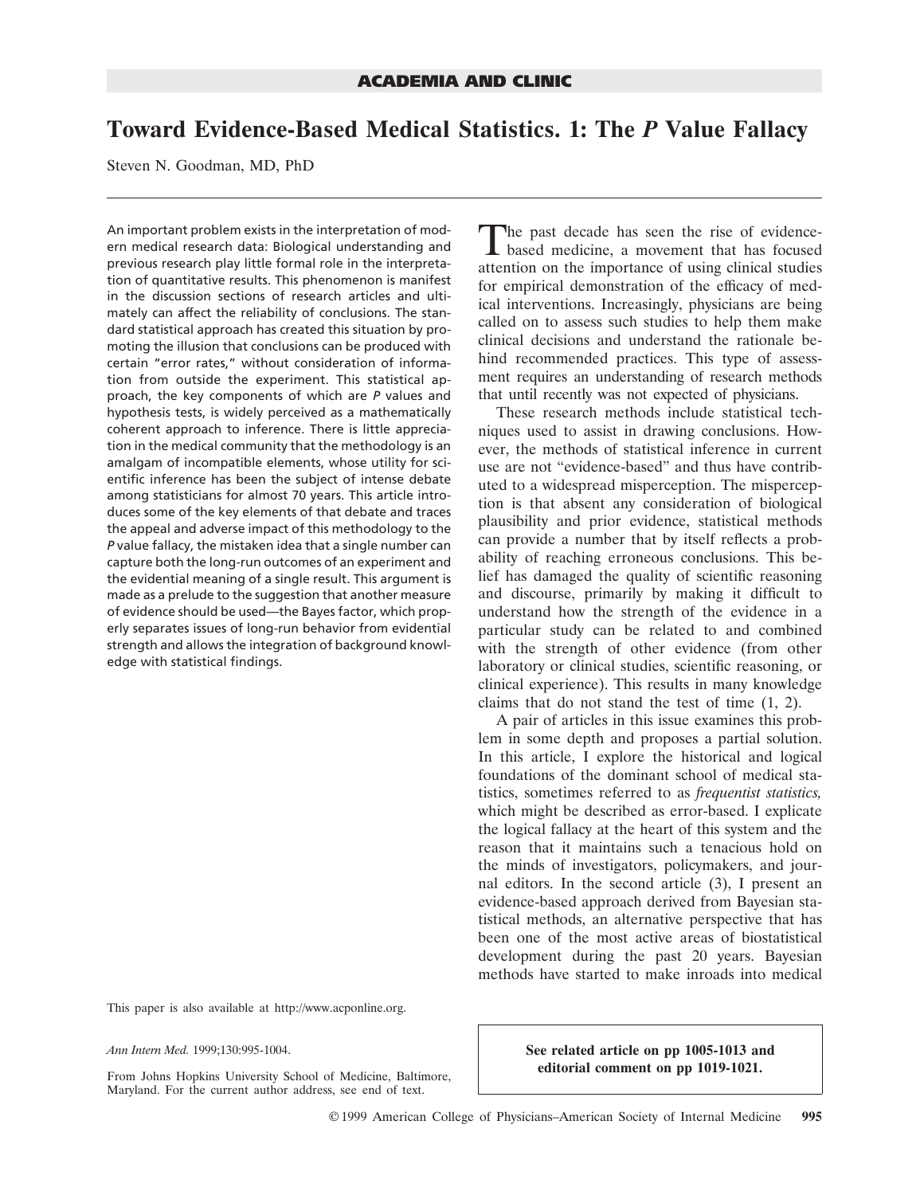# **Toward Evidence-Based Medical Statistics. 1: The** *P* **Value Fallacy**

Steven N. Goodman, MD, PhD

An important problem exists in the interpretation of modern medical research data: Biological understanding and previous research play little formal role in the interpretation of quantitative results. This phenomenon is manifest in the discussion sections of research articles and ultimately can affect the reliability of conclusions. The standard statistical approach has created this situation by promoting the illusion that conclusions can be produced with certain "error rates," without consideration of information from outside the experiment. This statistical approach, the key components of which are *P* values and hypothesis tests, is widely perceived as a mathematically coherent approach to inference. There is little appreciation in the medical community that the methodology is an amalgam of incompatible elements, whose utility for scientific inference has been the subject of intense debate among statisticians for almost 70 years. This article introduces some of the key elements of that debate and traces the appeal and adverse impact of this methodology to the *P* value fallacy, the mistaken idea that a single number can capture both the long-run outcomes of an experiment and the evidential meaning of a single result. This argument is made as a prelude to the suggestion that another measure of evidence should be used—the Bayes factor, which properly separates issues of long-run behavior from evidential strength and allows the integration of background knowledge with statistical findings.

This paper is also available at http://www.acponline.org.

*Ann Intern Med.* 1999;130:995-1004.

From Johns Hopkins University School of Medicine, Baltimore, Maryland. For the current author address, see end of text.

The past decade has seen the rise of evidencebased medicine, a movement that has focused attention on the importance of using clinical studies for empirical demonstration of the efficacy of medical interventions. Increasingly, physicians are being called on to assess such studies to help them make clinical decisions and understand the rationale behind recommended practices. This type of assessment requires an understanding of research methods that until recently was not expected of physicians.

These research methods include statistical techniques used to assist in drawing conclusions. However, the methods of statistical inference in current use are not "evidence-based" and thus have contributed to a widespread misperception. The misperception is that absent any consideration of biological plausibility and prior evidence, statistical methods can provide a number that by itself reflects a probability of reaching erroneous conclusions. This belief has damaged the quality of scientific reasoning and discourse, primarily by making it difficult to understand how the strength of the evidence in a particular study can be related to and combined with the strength of other evidence (from other laboratory or clinical studies, scientific reasoning, or clinical experience). This results in many knowledge claims that do not stand the test of time (1, 2).

A pair of articles in this issue examines this problem in some depth and proposes a partial solution. In this article, I explore the historical and logical foundations of the dominant school of medical statistics, sometimes referred to as *frequentist statistics,* which might be described as error-based. I explicate the logical fallacy at the heart of this system and the reason that it maintains such a tenacious hold on the minds of investigators, policymakers, and journal editors. In the second article (3), I present an evidence-based approach derived from Bayesian statistical methods, an alternative perspective that has been one of the most active areas of biostatistical development during the past 20 years. Bayesian methods have started to make inroads into medical

> **See related article on pp 1005-1013 and editorial comment on pp 1019-1021.**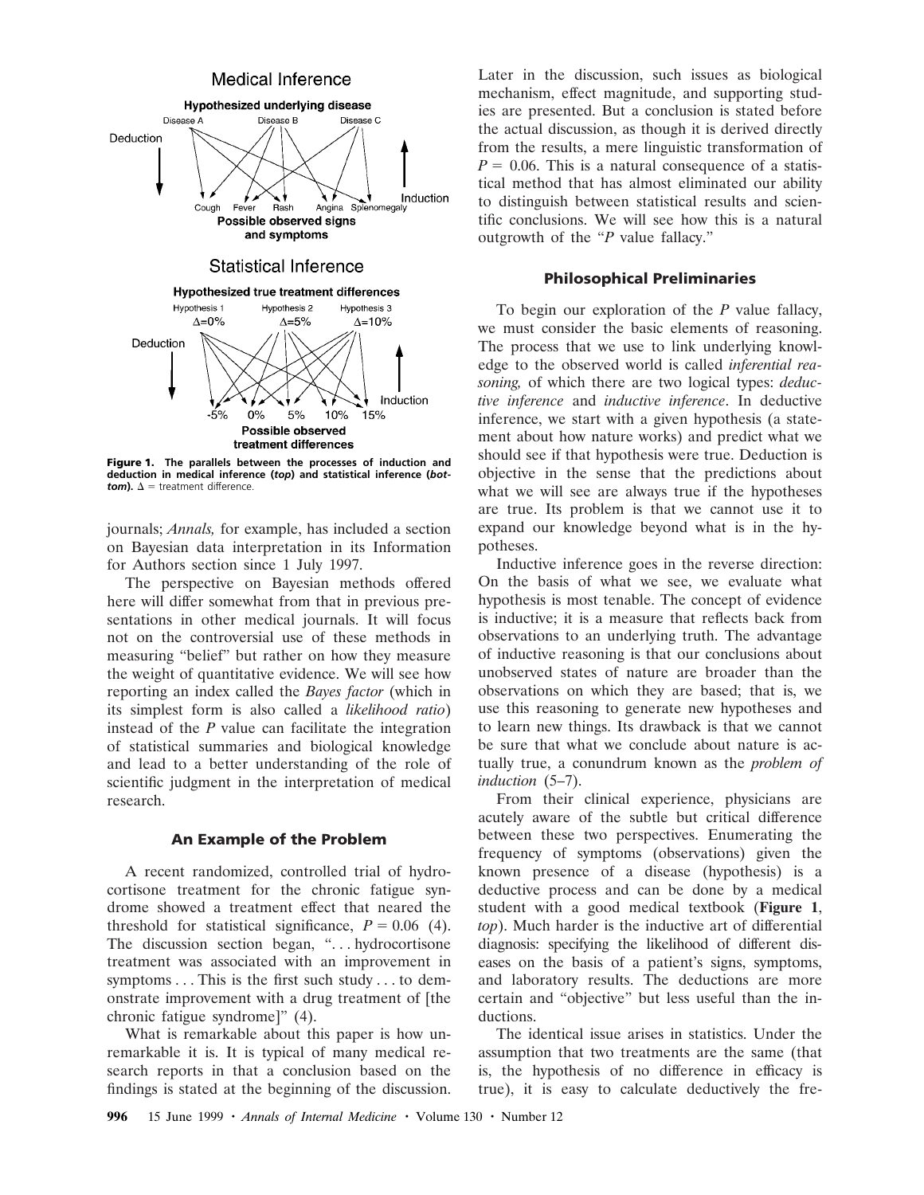

**Figure 1. The parallels between the processes of induction and deduction in medical inference (***top***) and statistical inference (***bottom***).**  $\Delta$  = treatment difference.

journals; *Annals,* for example, has included a section on Bayesian data interpretation in its Information for Authors section since 1 July 1997.

The perspective on Bayesian methods offered here will differ somewhat from that in previous presentations in other medical journals. It will focus not on the controversial use of these methods in measuring "belief" but rather on how they measure the weight of quantitative evidence. We will see how reporting an index called the *Bayes factor* (which in its simplest form is also called a *likelihood ratio*) instead of the *P* value can facilitate the integration of statistical summaries and biological knowledge and lead to a better understanding of the role of scientific judgment in the interpretation of medical research.

#### **An Example of the Problem**

A recent randomized, controlled trial of hydrocortisone treatment for the chronic fatigue syndrome showed a treatment effect that neared the threshold for statistical significance,  $P = 0.06$  (4). The discussion section began, ". . . hydrocortisone treatment was associated with an improvement in symptoms... This is the first such study . . . to demonstrate improvement with a drug treatment of [the chronic fatigue syndrome]" (4).

What is remarkable about this paper is how unremarkable it is. It is typical of many medical research reports in that a conclusion based on the findings is stated at the beginning of the discussion. Later in the discussion, such issues as biological mechanism, effect magnitude, and supporting studies are presented. But a conclusion is stated before the actual discussion, as though it is derived directly from the results, a mere linguistic transformation of  $P = 0.06$ . This is a natural consequence of a statistical method that has almost eliminated our ability to distinguish between statistical results and scientific conclusions. We will see how this is a natural outgrowth of the "*P* value fallacy."

## **Philosophical Preliminaries**

To begin our exploration of the *P* value fallacy, we must consider the basic elements of reasoning. The process that we use to link underlying knowledge to the observed world is called *inferential reasoning,* of which there are two logical types: *deductive inference* and *inductive inference*. In deductive inference, we start with a given hypothesis (a statement about how nature works) and predict what we should see if that hypothesis were true. Deduction is objective in the sense that the predictions about what we will see are always true if the hypotheses are true. Its problem is that we cannot use it to expand our knowledge beyond what is in the hypotheses.

Inductive inference goes in the reverse direction: On the basis of what we see, we evaluate what hypothesis is most tenable. The concept of evidence is inductive; it is a measure that reflects back from observations to an underlying truth. The advantage of inductive reasoning is that our conclusions about unobserved states of nature are broader than the observations on which they are based; that is, we use this reasoning to generate new hypotheses and to learn new things. Its drawback is that we cannot be sure that what we conclude about nature is actually true, a conundrum known as the *problem of induction* (5–7).

From their clinical experience, physicians are acutely aware of the subtle but critical difference between these two perspectives. Enumerating the frequency of symptoms (observations) given the known presence of a disease (hypothesis) is a deductive process and can be done by a medical student with a good medical textbook (**Figure 1**, *top*). Much harder is the inductive art of differential diagnosis: specifying the likelihood of different diseases on the basis of a patient's signs, symptoms, and laboratory results. The deductions are more certain and "objective" but less useful than the inductions.

The identical issue arises in statistics. Under the assumption that two treatments are the same (that is, the hypothesis of no difference in efficacy is true), it is easy to calculate deductively the fre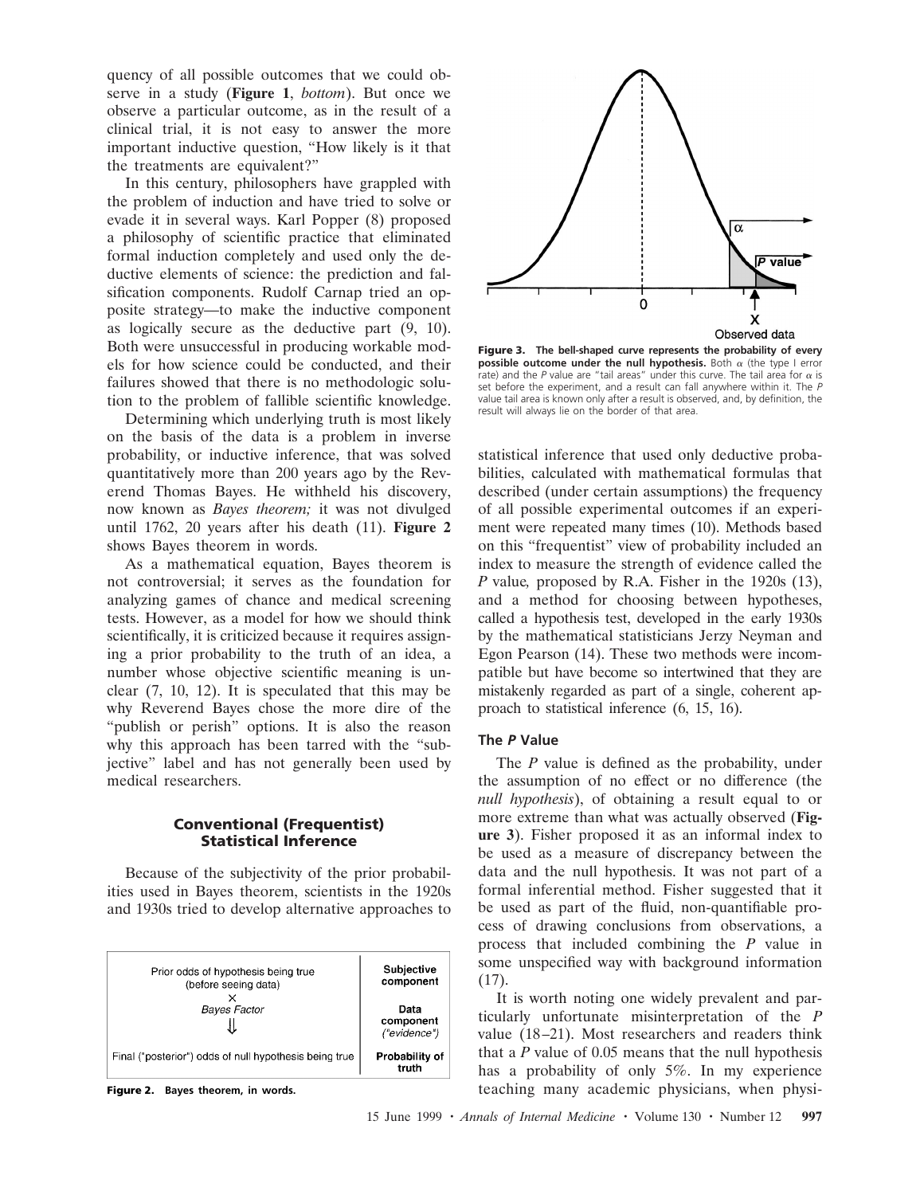quency of all possible outcomes that we could observe in a study (**Figure 1**, *bottom*). But once we observe a particular outcome, as in the result of a clinical trial, it is not easy to answer the more important inductive question, "How likely is it that the treatments are equivalent?"

In this century, philosophers have grappled with the problem of induction and have tried to solve or evade it in several ways. Karl Popper (8) proposed a philosophy of scientific practice that eliminated formal induction completely and used only the deductive elements of science: the prediction and falsification components. Rudolf Carnap tried an opposite strategy—to make the inductive component as logically secure as the deductive part (9, 10). Both were unsuccessful in producing workable models for how science could be conducted, and their failures showed that there is no methodologic solution to the problem of fallible scientific knowledge.

Determining which underlying truth is most likely on the basis of the data is a problem in inverse probability, or inductive inference, that was solved quantitatively more than 200 years ago by the Reverend Thomas Bayes. He withheld his discovery, now known as *Bayes theorem;* it was not divulged until 1762, 20 years after his death (11). **Figure 2** shows Bayes theorem in words.

As a mathematical equation, Bayes theorem is not controversial; it serves as the foundation for analyzing games of chance and medical screening tests. However, as a model for how we should think scientifically, it is criticized because it requires assigning a prior probability to the truth of an idea, a number whose objective scientific meaning is unclear (7, 10, 12). It is speculated that this may be why Reverend Bayes chose the more dire of the "publish or perish" options. It is also the reason why this approach has been tarred with the "subjective" label and has not generally been used by medical researchers.

### **Conventional (Frequentist) Statistical Inference**

Because of the subjectivity of the prior probabilities used in Bayes theorem, scientists in the 1920s and 1930s tried to develop alternative approaches to

| Prior odds of hypothesis being true<br>(before seeing data) | Subjective<br>component           |
|-------------------------------------------------------------|-----------------------------------|
| <b>Bayes Factor</b>                                         | Data<br>component<br>("evidence") |
| Final ("posterior") odds of null hypothesis being true      | Probability of<br>truth           |



**Figure 3. The bell-shaped curve represents the probability of every possible outcome under the null hypothesis.** Both  $\alpha$  (the type I error rate) and the P value are "tail areas" under this curve. The tail area for  $\alpha$  is set before the experiment, and a result can fall anywhere within it. The *P* value tail area is known only after a result is observed, and, by definition, the result will always lie on the border of that area.

statistical inference that used only deductive probabilities, calculated with mathematical formulas that described (under certain assumptions) the frequency of all possible experimental outcomes if an experiment were repeated many times (10). Methods based on this "frequentist" view of probability included an index to measure the strength of evidence called the *P* value*,* proposed by R.A. Fisher in the 1920s (13), and a method for choosing between hypotheses, called a hypothesis test, developed in the early 1930s by the mathematical statisticians Jerzy Neyman and Egon Pearson (14). These two methods were incompatible but have become so intertwined that they are mistakenly regarded as part of a single, coherent approach to statistical inference (6, 15, 16).

#### **The** *P* **Value**

The *P* value is defined as the probability, under the assumption of no effect or no difference (the *null hypothesis*), of obtaining a result equal to or more extreme than what was actually observed (**Figure 3**). Fisher proposed it as an informal index to be used as a measure of discrepancy between the data and the null hypothesis. It was not part of a formal inferential method. Fisher suggested that it be used as part of the fluid, non-quantifiable process of drawing conclusions from observations, a process that included combining the *P* value in some unspecified way with background information (17).

It is worth noting one widely prevalent and particularly unfortunate misinterpretation of the *P* value (18–21). Most researchers and readers think that a *P* value of 0.05 means that the null hypothesis has a probability of only 5%. In my experience **Figure 2.** Bayes theorem, in words. The same is teaching many academic physicians, when physi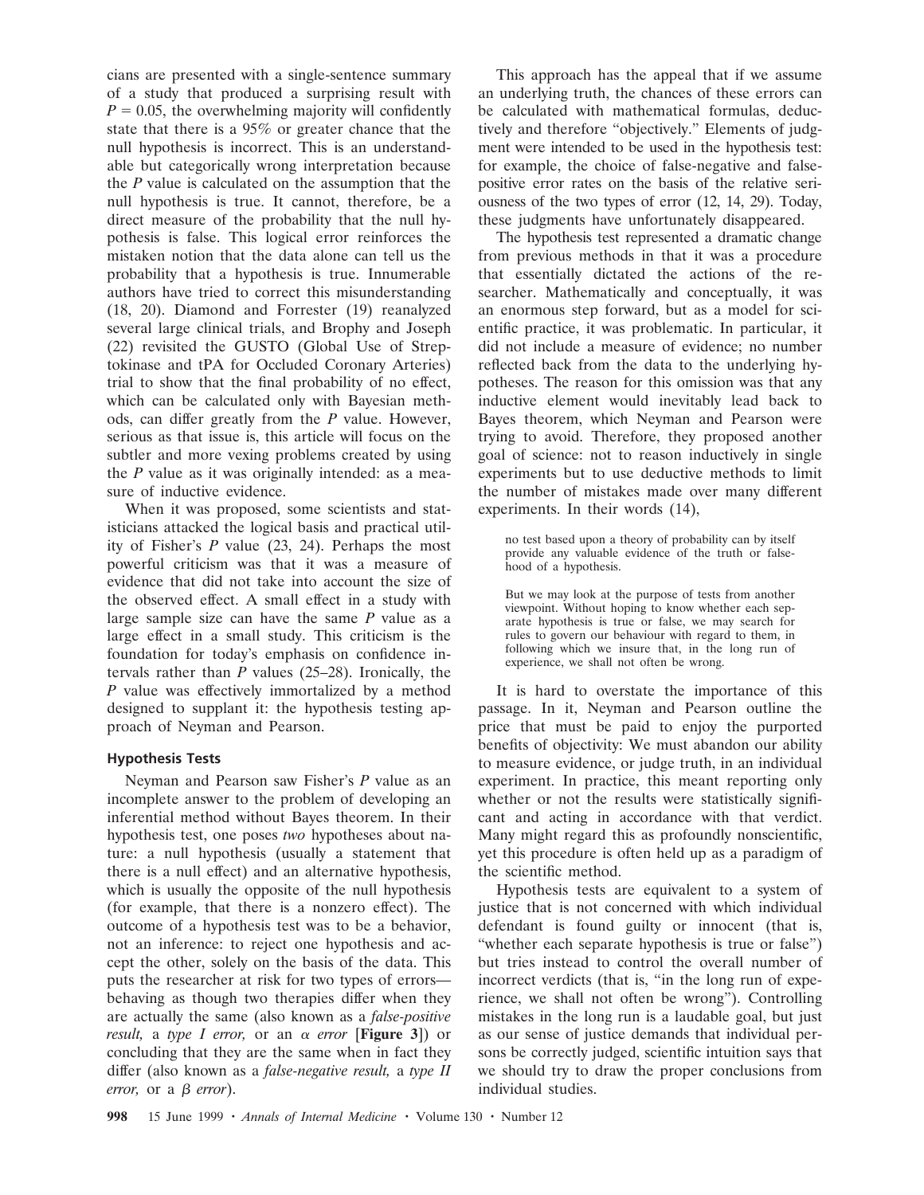cians are presented with a single-sentence summary of a study that produced a surprising result with  $P = 0.05$ , the overwhelming majority will confidently state that there is a 95% or greater chance that the null hypothesis is incorrect. This is an understandable but categorically wrong interpretation because the *P* value is calculated on the assumption that the null hypothesis is true. It cannot, therefore, be a direct measure of the probability that the null hypothesis is false. This logical error reinforces the mistaken notion that the data alone can tell us the probability that a hypothesis is true. Innumerable authors have tried to correct this misunderstanding (18, 20). Diamond and Forrester (19) reanalyzed several large clinical trials, and Brophy and Joseph (22) revisited the GUSTO (Global Use of Streptokinase and tPA for Occluded Coronary Arteries) trial to show that the final probability of no effect, which can be calculated only with Bayesian methods, can differ greatly from the *P* value. However, serious as that issue is, this article will focus on the subtler and more vexing problems created by using the *P* value as it was originally intended: as a measure of inductive evidence.

When it was proposed, some scientists and statisticians attacked the logical basis and practical utility of Fisher's *P* value (23, 24). Perhaps the most powerful criticism was that it was a measure of evidence that did not take into account the size of the observed effect. A small effect in a study with large sample size can have the same *P* value as a large effect in a small study. This criticism is the foundation for today's emphasis on confidence intervals rather than *P* values (25–28). Ironically, the *P* value was effectively immortalized by a method designed to supplant it: the hypothesis testing approach of Neyman and Pearson.

## **Hypothesis Tests**

Neyman and Pearson saw Fisher's *P* value as an incomplete answer to the problem of developing an inferential method without Bayes theorem. In their hypothesis test, one poses *two* hypotheses about nature: a null hypothesis (usually a statement that there is a null effect) and an alternative hypothesis, which is usually the opposite of the null hypothesis (for example, that there is a nonzero effect). The outcome of a hypothesis test was to be a behavior, not an inference: to reject one hypothesis and accept the other, solely on the basis of the data. This puts the researcher at risk for two types of errors behaving as though two therapies differ when they are actually the same (also known as a *false-positive result,* a *type I error,* or an  $\alpha$  *error* [Figure 3]) or concluding that they are the same when in fact they differ (also known as a *false-negative result,* a *type II error,* or a  $\beta$  *error*).

This approach has the appeal that if we assume an underlying truth, the chances of these errors can be calculated with mathematical formulas, deductively and therefore "objectively." Elements of judgment were intended to be used in the hypothesis test: for example, the choice of false-negative and falsepositive error rates on the basis of the relative seriousness of the two types of error (12, 14, 29). Today, these judgments have unfortunately disappeared.

The hypothesis test represented a dramatic change from previous methods in that it was a procedure that essentially dictated the actions of the researcher. Mathematically and conceptually, it was an enormous step forward, but as a model for scientific practice, it was problematic. In particular, it did not include a measure of evidence; no number reflected back from the data to the underlying hypotheses. The reason for this omission was that any inductive element would inevitably lead back to Bayes theorem, which Neyman and Pearson were trying to avoid. Therefore, they proposed another goal of science: not to reason inductively in single experiments but to use deductive methods to limit the number of mistakes made over many different experiments. In their words (14),

no test based upon a theory of probability can by itself provide any valuable evidence of the truth or falsehood of a hypothesis.

But we may look at the purpose of tests from another viewpoint. Without hoping to know whether each separate hypothesis is true or false, we may search for rules to govern our behaviour with regard to them, in following which we insure that, in the long run of experience, we shall not often be wrong.

It is hard to overstate the importance of this passage. In it, Neyman and Pearson outline the price that must be paid to enjoy the purported benefits of objectivity: We must abandon our ability to measure evidence, or judge truth, in an individual experiment. In practice, this meant reporting only whether or not the results were statistically significant and acting in accordance with that verdict. Many might regard this as profoundly nonscientific, yet this procedure is often held up as a paradigm of the scientific method.

Hypothesis tests are equivalent to a system of justice that is not concerned with which individual defendant is found guilty or innocent (that is, "whether each separate hypothesis is true or false") but tries instead to control the overall number of incorrect verdicts (that is, "in the long run of experience, we shall not often be wrong"). Controlling mistakes in the long run is a laudable goal, but just as our sense of justice demands that individual persons be correctly judged, scientific intuition says that we should try to draw the proper conclusions from individual studies.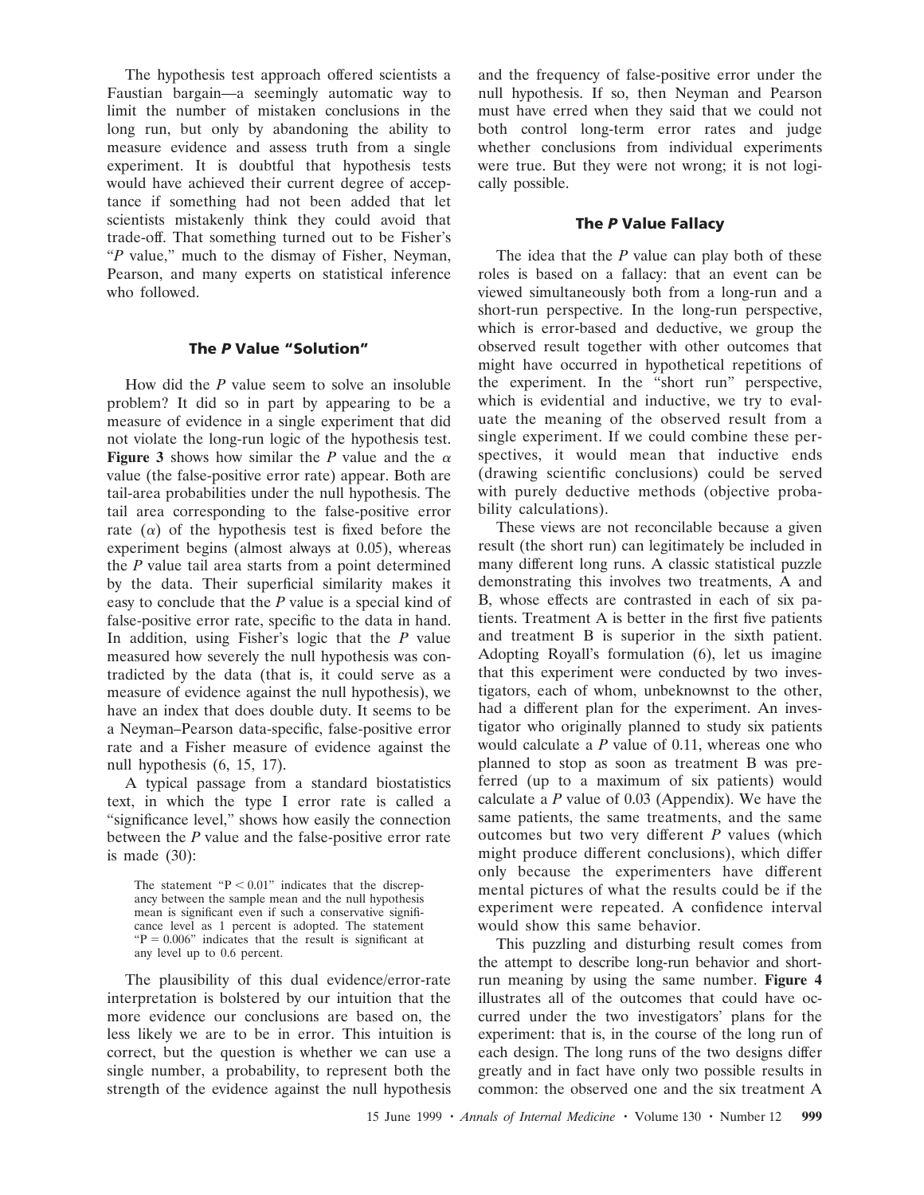The hypothesis test approach offered scientists a Faustian bargain—a seemingly automatic way to limit the number of mistaken conclusions in the long run, but only by abandoning the ability to measure evidence and assess truth from a single experiment. It is doubtful that hypothesis tests would have achieved their current degree of acceptance if something had not been added that let scientists mistakenly think they could avoid that trade-off. That something turned out to be Fisher's "*P* value," much to the dismay of Fisher, Neyman, Pearson, and many experts on statistical inference who followed.

## **The** *P* **Value "Solution"**

How did the *P* value seem to solve an insoluble problem? It did so in part by appearing to be a measure of evidence in a single experiment that did not violate the long-run logic of the hypothesis test. **Figure 3** shows how similar the *P* value and the  $\alpha$ value (the false-positive error rate) appear. Both are tail-area probabilities under the null hypothesis. The tail area corresponding to the false-positive error rate  $(\alpha)$  of the hypothesis test is fixed before the experiment begins (almost always at 0.05), whereas the *P* value tail area starts from a point determined by the data. Their superficial similarity makes it easy to conclude that the *P* value is a special kind of false-positive error rate, specific to the data in hand. In addition, using Fisher's logic that the *P* value measured how severely the null hypothesis was contradicted by the data (that is, it could serve as a measure of evidence against the null hypothesis), we have an index that does double duty. It seems to be a Neyman–Pearson data-specific, false-positive error rate and a Fisher measure of evidence against the null hypothesis (6, 15, 17).

A typical passage from a standard biostatistics text, in which the type I error rate is called a "significance level," shows how easily the connection between the *P* value and the false-positive error rate is made (30):

The statement " $P < 0.01$ " indicates that the discrepancy between the sample mean and the null hypothesis mean is significant even if such a conservative significance level as 1 percent is adopted. The statement " $P = 0.006$ " indicates that the result is significant at any level up to 0.6 percent.

The plausibility of this dual evidence/error-rate interpretation is bolstered by our intuition that the more evidence our conclusions are based on, the less likely we are to be in error. This intuition is correct, but the question is whether we can use a single number, a probability, to represent both the strength of the evidence against the null hypothesis

and the frequency of false-positive error under the null hypothesis. If so, then Neyman and Pearson must have erred when they said that we could not both control long-term error rates and judge whether conclusions from individual experiments were true. But they were not wrong; it is not logically possible.

#### **The** *P* **Value Fallacy**

The idea that the *P* value can play both of these roles is based on a fallacy: that an event can be viewed simultaneously both from a long-run and a short-run perspective. In the long-run perspective, which is error-based and deductive, we group the observed result together with other outcomes that might have occurred in hypothetical repetitions of the experiment. In the "short run" perspective, which is evidential and inductive, we try to evaluate the meaning of the observed result from a single experiment. If we could combine these perspectives, it would mean that inductive ends (drawing scientific conclusions) could be served with purely deductive methods (objective probability calculations).

These views are not reconcilable because a given result (the short run) can legitimately be included in many different long runs. A classic statistical puzzle demonstrating this involves two treatments, A and B, whose effects are contrasted in each of six patients. Treatment A is better in the first five patients and treatment B is superior in the sixth patient. Adopting Royall's formulation (6), let us imagine that this experiment were conducted by two investigators, each of whom, unbeknownst to the other, had a different plan for the experiment. An investigator who originally planned to study six patients would calculate a *P* value of 0.11, whereas one who planned to stop as soon as treatment B was preferred (up to a maximum of six patients) would calculate a *P* value of 0.03 (Appendix). We have the same patients, the same treatments, and the same outcomes but two very different *P* values (which might produce different conclusions), which differ only because the experimenters have different mental pictures of what the results could be if the experiment were repeated. A confidence interval would show this same behavior.

This puzzling and disturbing result comes from the attempt to describe long-run behavior and shortrun meaning by using the same number. **Figure 4** illustrates all of the outcomes that could have occurred under the two investigators' plans for the experiment: that is, in the course of the long run of each design. The long runs of the two designs differ greatly and in fact have only two possible results in common: the observed one and the six treatment A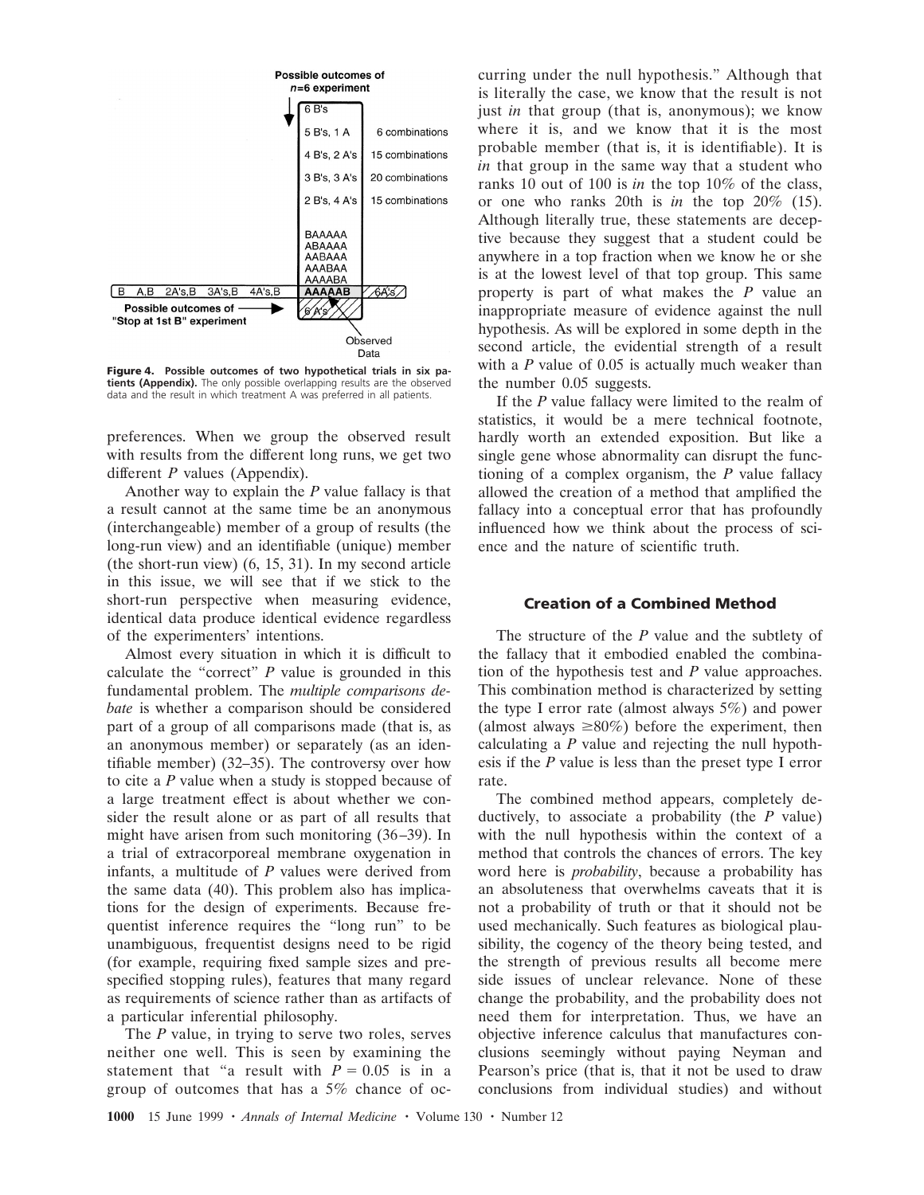

**Figure 4. Possible outcomes of two hypothetical trials in six patients (Appendix).** The only possible overlapping results are the observed data and the result in which treatment A was preferred in all patients.

preferences. When we group the observed result with results from the different long runs, we get two different *P* values (Appendix).

Another way to explain the *P* value fallacy is that a result cannot at the same time be an anonymous (interchangeable) member of a group of results (the long-run view) and an identifiable (unique) member (the short-run view) (6, 15, 31). In my second article in this issue, we will see that if we stick to the short-run perspective when measuring evidence, identical data produce identical evidence regardless of the experimenters' intentions.

Almost every situation in which it is difficult to calculate the "correct" *P* value is grounded in this fundamental problem. The *multiple comparisons debate* is whether a comparison should be considered part of a group of all comparisons made (that is, as an anonymous member) or separately (as an identifiable member) (32–35). The controversy over how to cite a *P* value when a study is stopped because of a large treatment effect is about whether we consider the result alone or as part of all results that might have arisen from such monitoring (36–39). In a trial of extracorporeal membrane oxygenation in infants, a multitude of *P* values were derived from the same data (40). This problem also has implications for the design of experiments. Because frequentist inference requires the "long run" to be unambiguous, frequentist designs need to be rigid (for example, requiring fixed sample sizes and prespecified stopping rules), features that many regard as requirements of science rather than as artifacts of a particular inferential philosophy.

The *P* value, in trying to serve two roles, serves neither one well. This is seen by examining the statement that "a result with  $P = 0.05$  is in a group of outcomes that has a 5% chance of oc-

curring under the null hypothesis." Although that is literally the case, we know that the result is not just *in* that group (that is, anonymous); we know where it is, and we know that it is the most probable member (that is, it is identifiable). It is *in* that group in the same way that a student who ranks 10 out of 100 is *in* the top 10% of the class, or one who ranks 20th is *in* the top 20% (15). Although literally true, these statements are deceptive because they suggest that a student could be anywhere in a top fraction when we know he or she is at the lowest level of that top group. This same property is part of what makes the *P* value an inappropriate measure of evidence against the null hypothesis. As will be explored in some depth in the second article, the evidential strength of a result with a *P* value of 0.05 is actually much weaker than the number 0.05 suggests.

If the *P* value fallacy were limited to the realm of statistics, it would be a mere technical footnote, hardly worth an extended exposition. But like a single gene whose abnormality can disrupt the functioning of a complex organism, the *P* value fallacy allowed the creation of a method that amplified the fallacy into a conceptual error that has profoundly influenced how we think about the process of science and the nature of scientific truth.

## **Creation of a Combined Method**

The structure of the *P* value and the subtlety of the fallacy that it embodied enabled the combination of the hypothesis test and *P* value approaches. This combination method is characterized by setting the type I error rate (almost always 5%) and power (almost always  $\geq 80\%$ ) before the experiment, then calculating a *P* value and rejecting the null hypothesis if the *P* value is less than the preset type I error rate.

The combined method appears, completely deductively, to associate a probability (the *P* value) with the null hypothesis within the context of a method that controls the chances of errors. The key word here is *probability*, because a probability has an absoluteness that overwhelms caveats that it is not a probability of truth or that it should not be used mechanically. Such features as biological plausibility, the cogency of the theory being tested, and the strength of previous results all become mere side issues of unclear relevance. None of these change the probability, and the probability does not need them for interpretation. Thus, we have an objective inference calculus that manufactures conclusions seemingly without paying Neyman and Pearson's price (that is, that it not be used to draw conclusions from individual studies) and without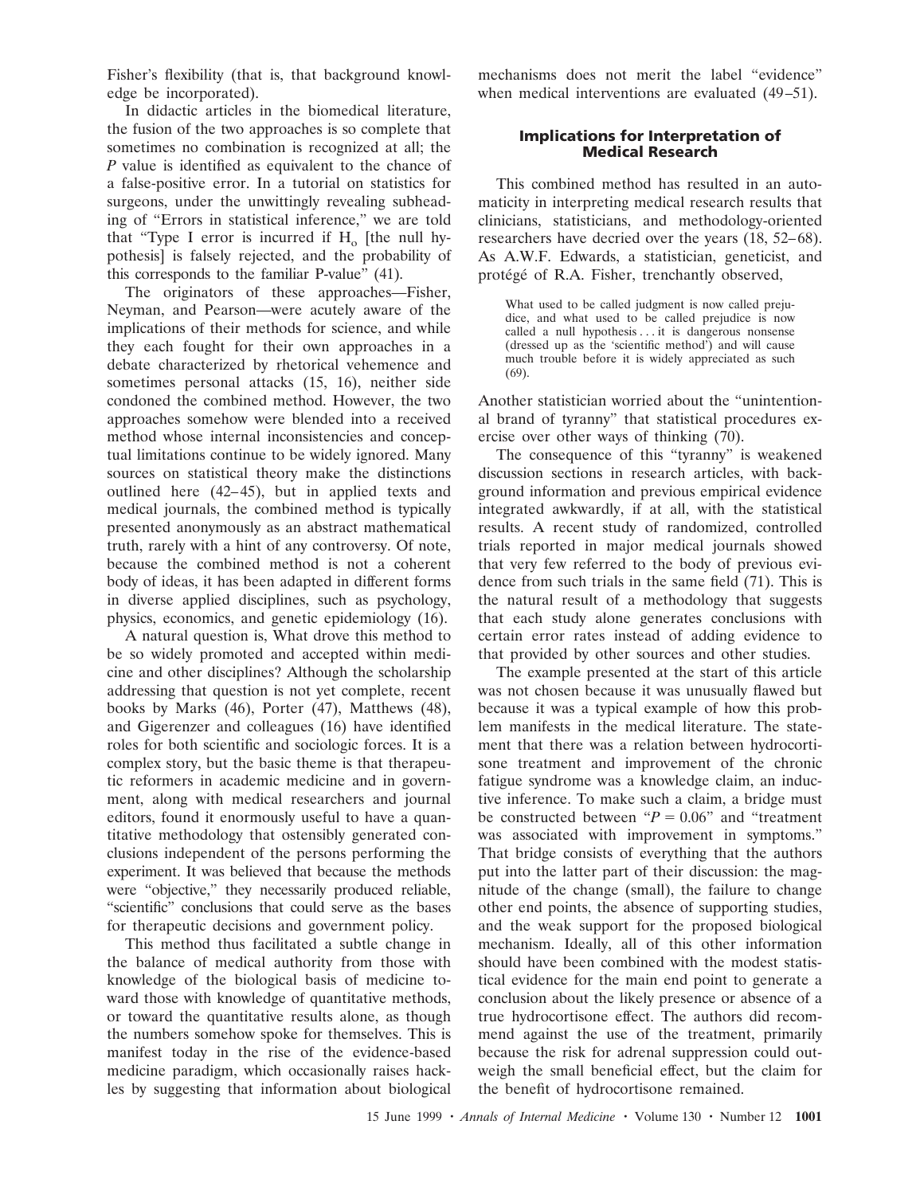Fisher's flexibility (that is, that background knowledge be incorporated).

In didactic articles in the biomedical literature, the fusion of the two approaches is so complete that sometimes no combination is recognized at all; the *P* value is identified as equivalent to the chance of a false-positive error. In a tutorial on statistics for surgeons, under the unwittingly revealing subheading of "Errors in statistical inference," we are told that "Type I error is incurred if  $H_0$  [the null hypothesis] is falsely rejected, and the probability of this corresponds to the familiar P-value" (41).

The originators of these approaches—Fisher, Neyman, and Pearson—were acutely aware of the implications of their methods for science, and while they each fought for their own approaches in a debate characterized by rhetorical vehemence and sometimes personal attacks (15, 16), neither side condoned the combined method. However, the two approaches somehow were blended into a received method whose internal inconsistencies and conceptual limitations continue to be widely ignored. Many sources on statistical theory make the distinctions outlined here (42–45), but in applied texts and medical journals, the combined method is typically presented anonymously as an abstract mathematical truth, rarely with a hint of any controversy. Of note, because the combined method is not a coherent body of ideas, it has been adapted in different forms in diverse applied disciplines, such as psychology, physics, economics, and genetic epidemiology (16).

A natural question is, What drove this method to be so widely promoted and accepted within medicine and other disciplines? Although the scholarship addressing that question is not yet complete, recent books by Marks (46), Porter (47), Matthews (48), and Gigerenzer and colleagues (16) have identified roles for both scientific and sociologic forces. It is a complex story, but the basic theme is that therapeutic reformers in academic medicine and in government, along with medical researchers and journal editors, found it enormously useful to have a quantitative methodology that ostensibly generated conclusions independent of the persons performing the experiment. It was believed that because the methods were "objective," they necessarily produced reliable, "scientific" conclusions that could serve as the bases for therapeutic decisions and government policy.

This method thus facilitated a subtle change in the balance of medical authority from those with knowledge of the biological basis of medicine toward those with knowledge of quantitative methods, or toward the quantitative results alone, as though the numbers somehow spoke for themselves. This is manifest today in the rise of the evidence-based medicine paradigm, which occasionally raises hackles by suggesting that information about biological

mechanisms does not merit the label "evidence" when medical interventions are evaluated  $(49-51)$ .

## **Implications for Interpretation of Medical Research**

This combined method has resulted in an automaticity in interpreting medical research results that clinicians, statisticians, and methodology-oriented researchers have decried over the years (18, 52–68). As A.W.F. Edwards, a statistician, geneticist, and protégé of R.A. Fisher, trenchantly observed,

What used to be called judgment is now called prejudice, and what used to be called prejudice is now called a null hypothesis . . . it is dangerous nonsense (dressed up as the 'scientific method') and will cause much trouble before it is widely appreciated as such (69).

Another statistician worried about the "unintentional brand of tyranny" that statistical procedures exercise over other ways of thinking (70).

The consequence of this "tyranny" is weakened discussion sections in research articles, with background information and previous empirical evidence integrated awkwardly, if at all, with the statistical results. A recent study of randomized, controlled trials reported in major medical journals showed that very few referred to the body of previous evidence from such trials in the same field (71). This is the natural result of a methodology that suggests that each study alone generates conclusions with certain error rates instead of adding evidence to that provided by other sources and other studies.

The example presented at the start of this article was not chosen because it was unusually flawed but because it was a typical example of how this problem manifests in the medical literature. The statement that there was a relation between hydrocortisone treatment and improvement of the chronic fatigue syndrome was a knowledge claim, an inductive inference. To make such a claim, a bridge must be constructed between " $P = 0.06$ " and "treatment" was associated with improvement in symptoms." That bridge consists of everything that the authors put into the latter part of their discussion: the magnitude of the change (small), the failure to change other end points, the absence of supporting studies, and the weak support for the proposed biological mechanism. Ideally, all of this other information should have been combined with the modest statistical evidence for the main end point to generate a conclusion about the likely presence or absence of a true hydrocortisone effect. The authors did recommend against the use of the treatment, primarily because the risk for adrenal suppression could outweigh the small beneficial effect, but the claim for the benefit of hydrocortisone remained.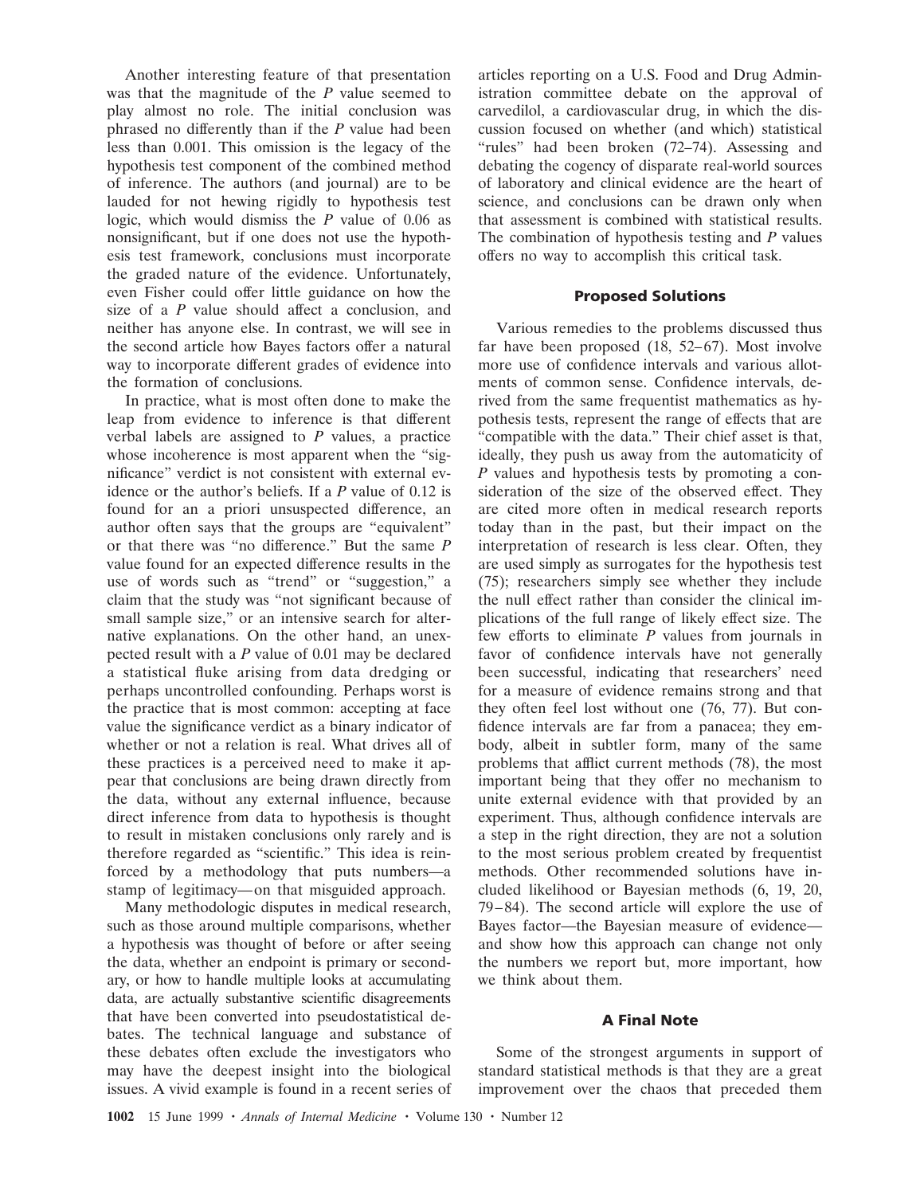Another interesting feature of that presentation was that the magnitude of the *P* value seemed to play almost no role. The initial conclusion was phrased no differently than if the *P* value had been less than 0.001. This omission is the legacy of the hypothesis test component of the combined method of inference. The authors (and journal) are to be lauded for not hewing rigidly to hypothesis test logic, which would dismiss the *P* value of 0.06 as nonsignificant, but if one does not use the hypothesis test framework, conclusions must incorporate the graded nature of the evidence. Unfortunately, even Fisher could offer little guidance on how the size of a *P* value should affect a conclusion, and neither has anyone else. In contrast, we will see in the second article how Bayes factors offer a natural way to incorporate different grades of evidence into the formation of conclusions.

In practice, what is most often done to make the leap from evidence to inference is that different verbal labels are assigned to *P* values, a practice whose incoherence is most apparent when the "significance" verdict is not consistent with external evidence or the author's beliefs. If a *P* value of 0.12 is found for an a priori unsuspected difference, an author often says that the groups are "equivalent" or that there was "no difference." But the same *P* value found for an expected difference results in the use of words such as "trend" or "suggestion," a claim that the study was "not significant because of small sample size," or an intensive search for alternative explanations. On the other hand, an unexpected result with a *P* value of 0.01 may be declared a statistical fluke arising from data dredging or perhaps uncontrolled confounding. Perhaps worst is the practice that is most common: accepting at face value the significance verdict as a binary indicator of whether or not a relation is real. What drives all of these practices is a perceived need to make it appear that conclusions are being drawn directly from the data, without any external influence, because direct inference from data to hypothesis is thought to result in mistaken conclusions only rarely and is therefore regarded as "scientific." This idea is reinforced by a methodology that puts numbers—a stamp of legitimacy—on that misguided approach.

Many methodologic disputes in medical research, such as those around multiple comparisons, whether a hypothesis was thought of before or after seeing the data, whether an endpoint is primary or secondary, or how to handle multiple looks at accumulating data, are actually substantive scientific disagreements that have been converted into pseudostatistical debates. The technical language and substance of these debates often exclude the investigators who may have the deepest insight into the biological issues. A vivid example is found in a recent series of

articles reporting on a U.S. Food and Drug Administration committee debate on the approval of carvedilol, a cardiovascular drug, in which the discussion focused on whether (and which) statistical "rules" had been broken  $(72-74)$ . Assessing and debating the cogency of disparate real-world sources of laboratory and clinical evidence are the heart of science, and conclusions can be drawn only when that assessment is combined with statistical results. The combination of hypothesis testing and *P* values offers no way to accomplish this critical task.

### **Proposed Solutions**

Various remedies to the problems discussed thus far have been proposed  $(18, 52-67)$ . Most involve more use of confidence intervals and various allotments of common sense. Confidence intervals, derived from the same frequentist mathematics as hypothesis tests, represent the range of effects that are "compatible with the data." Their chief asset is that, ideally, they push us away from the automaticity of *P* values and hypothesis tests by promoting a consideration of the size of the observed effect. They are cited more often in medical research reports today than in the past, but their impact on the interpretation of research is less clear. Often, they are used simply as surrogates for the hypothesis test (75); researchers simply see whether they include the null effect rather than consider the clinical implications of the full range of likely effect size. The few efforts to eliminate *P* values from journals in favor of confidence intervals have not generally been successful, indicating that researchers' need for a measure of evidence remains strong and that they often feel lost without one (76, 77). But confidence intervals are far from a panacea; they embody, albeit in subtler form, many of the same problems that afflict current methods (78), the most important being that they offer no mechanism to unite external evidence with that provided by an experiment. Thus, although confidence intervals are a step in the right direction, they are not a solution to the most serious problem created by frequentist methods. Other recommended solutions have included likelihood or Bayesian methods (6, 19, 20, 79–84). The second article will explore the use of Bayes factor—the Bayesian measure of evidence and show how this approach can change not only the numbers we report but, more important, how we think about them.

## **A Final Note**

Some of the strongest arguments in support of standard statistical methods is that they are a great improvement over the chaos that preceded them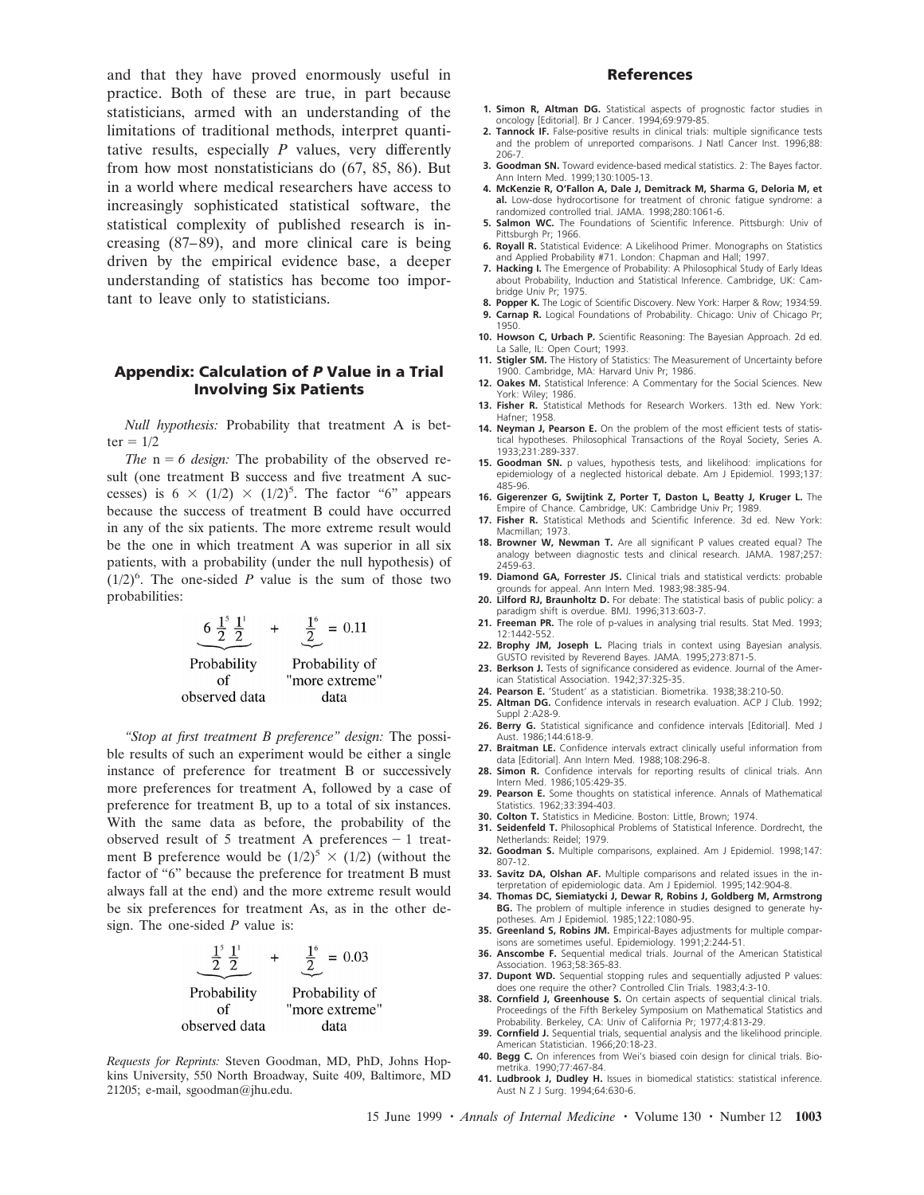and that they have proved enormously useful in practice. Both of these are true, in part because statisticians, armed with an understanding of the limitations of traditional methods, interpret quantitative results, especially *P* values, very differently from how most nonstatisticians do (67, 85, 86). But in a world where medical researchers have access to increasingly sophisticated statistical software, the statistical complexity of published research is increasing (87–89), and more clinical care is being driven by the empirical evidence base, a deeper understanding of statistics has become too important to leave only to statisticians.

## **Appendix: Calculation of** *P* **Value in a Trial Involving Six Patients**

*Null hypothesis:* Probability that treatment A is better =  $1/2$ 

*The*  $n = 6$  *design:* The probability of the observed result (one treatment B success and five treatment A successes) is  $6 \times (1/2) \times (1/2)^5$ . The factor "6" appears because the success of treatment B could have occurred in any of the six patients. The more extreme result would be the one in which treatment A was superior in all six patients, with a probability (under the null hypothesis) of  $(1/2)^6$ . The one-sided *P* value is the sum of those two probabilities:

$$
\underbrace{6 \frac{1}{2}^{5} \frac{1}{2}}_{\text{Probability}} + \underbrace{1}{2}^{6} = 0.11
$$
\nProbability of "more extreme" observed data data data

*"Stop at first treatment B preference" design:* The possible results of such an experiment would be either a single instance of preference for treatment B or successively more preferences for treatment A, followed by a case of preference for treatment B, up to a total of six instances. With the same data as before, the probability of the observed result of 5 treatment A preferences  $-1$  treatment B preference would be  $(1/2)^5 \times (1/2)$  (without the factor of "6" because the preference for treatment B must always fall at the end) and the more extreme result would be six preferences for treatment As, as in the other design. The one-sided *P* value is:

$$
\frac{1}{2} \frac{1}{2} + \frac{1}{2} = 0.03
$$
  
Probability  
of  
observed data  
data  
data

*Requests for Reprints:* Steven Goodman, MD, PhD, Johns Hopkins University, 550 North Broadway, Suite 409, Baltimore, MD 21205; e-mail, sgoodman@jhu.edu.

#### **References**

- **1. Simon R, Altman DG.** Statistical aspects of prognostic factor studies in oncology [Editorial]. Br J Cancer. 1994;69:979-85.
- 2. Tannock IF. False-positive results in clinical trials: multiple significance tests and the problem of unreported comparisons. J Natl Cancer Inst. 1996;88: 206-7.
- **3. Goodman SN.** Toward evidence-based medical statistics. 2: The Bayes factor. Ann Intern Med. 1999;130:1005-13.
- **4. McKenzie R, O'Fallon A, Dale J, Demitrack M, Sharma G, Deloria M, et al.** Low-dose hydrocortisone for treatment of chronic fatigue syndrome: a randomized controlled trial. JAMA. 1998;280:1061-6.
- **5. Salmon WC.** The Foundations of Scientific Inference. Pittsburgh: Univ of Pittsburgh Pr; 1966.
- **6. Royall R.** Statistical Evidence: A Likelihood Primer. Monographs on Statistics and Applied Probability #71. London: Chapman and Hall; 1997.
- 7. Hacking I. The Emergence of Probability: A Philosophical Study of Early Ideas about Probability, Induction and Statistical Inference. Cambridge, UK: Cambridge Univ Pr; 1975.
- **8. Popper K.** The Logic of Scientific Discovery. New York: Harper & Row; 1934:59. **9. Carnap R.** Logical Foundations of Probability. Chicago: Univ of Chicago Pr; 1950.
- **10. Howson C, Urbach P.** Scientific Reasoning: The Bayesian Approach. 2d ed. La Salle, IL: Open Court; 1993.
- 11. Stigler SM. The History of Statistics: The Measurement of Uncertainty before 1900. Cambridge, MA: Harvard Univ Pr; 1986.
- **12. Oakes M.** Statistical Inference: A Commentary for the Social Sciences. New York: Wiley; 1986.
- **13. Fisher R.** Statistical Methods for Research Workers. 13th ed. New York: Hafner; 1958.
- **14. Neyman J, Pearson E.** On the problem of the most efficient tests of statistical hypotheses. Philosophical Transactions of the Royal Society, Series A. 1933;231:289-337.
- **15. Goodman SN.** p values, hypothesis tests, and likelihood: implications for epidemiology of a neglected historical debate. Am J Epidemiol. 1993;137: 485-96.
- **16. Gigerenzer G, Swijtink Z, Porter T, Daston L, Beatty J, Kruger L.** The Empire of Chance. Cambridge, UK: Cambridge Univ Pr; 1989.
- **17. Fisher R.** Statistical Methods and Scientific Inference. 3d ed. New York: Macmillan; 1973.
- **18. Browner W, Newman T.** Are all significant P values created equal? The analogy between diagnostic tests and clinical research. JAMA. 1987;257: 2459-63.
- **19. Diamond GA, Forrester JS.** Clinical trials and statistical verdicts: probable grounds for appeal. Ann Intern Med. 1983;98:385-94.
- **20. Lilford RJ, Braunholtz D.** For debate: The statistical basis of public policy: a paradigm shift is overdue. BMJ. 1996;313:603-7.
- **21. Freeman PR.** The role of p-values in analysing trial results. Stat Med. 1993; 12:1442-552.
- **22. Brophy JM, Joseph L.** Placing trials in context using Bayesian analysis. GUSTO revisited by Reverend Bayes. JAMA. 1995;273:871-5.
- 23. Berkson J. Tests of significance considered as evidence. Journal of the American Statistical Association. 1942;37:325-35.
- **24. Pearson E.** 'Student' as a statistician. Biometrika. 1938;38:210-50.
- **25. Altman DG.** Confidence intervals in research evaluation. ACP J Club. 1992; Suppl 2:A28-9.
- **26. Berry G.** Statistical significance and confidence intervals [Editorial]. Med J Aust. 1986;144:618-9.
- **27. Braitman LE.** Confidence intervals extract clinically useful information from data [Editorial]. Ann Intern Med. 1988;108:296-8.
- 28. Simon R. Confidence intervals for reporting results of clinical trials. Ann Intern Med. 1986;105:429-35.
- **29. Pearson E.** Some thoughts on statistical inference. Annals of Mathematical Statistics. 1962;33:394-403.
- **30. Colton T.** Statistics in Medicine. Boston: Little, Brown; 1974.
- **31. Seidenfeld T.** Philosophical Problems of Statistical Inference. Dordrecht, the Netherlands: Reidel; 1979.
- **32. Goodman S.** Multiple comparisons, explained. Am J Epidemiol. 1998;147: 807-12.
- **33. Savitz DA, Olshan AF.** Multiple comparisons and related issues in the interpretation of epidemiologic data. Am J Epidemiol. 1995;142:904-8.
- **34. Thomas DC, Siemiatycki J, Dewar R, Robins J, Goldberg M, Armstrong BG.** The problem of multiple inference in studies designed to generate hypotheses. Am J Epidemiol. 1985;122:1080-95.
- **35. Greenland S, Robins JM.** Empirical-Bayes adjustments for multiple comparisons are sometimes useful. Epidemiology. 1991;2:244-51.
- **36. Anscombe F.** Sequential medical trials. Journal of the American Statistical Association. 1963;58:365-83.
- **37. Dupont WD.** Sequential stopping rules and sequentially adjusted P values: does one require the other? Controlled Clin Trials. 1983;4:3-10.
- **38. Cornfield J. Greenhouse S.** On certain aspects of sequential clinical trials. Proceedings of the Fifth Berkeley Symposium on Mathematical Statistics and Probability. Berkeley, CA: Univ of California Pr; 1977;4:813-29.
- **39. Cornfield J.** Sequential trials, sequential analysis and the likelihood principle. American Statistician. 1966;20:18-23.
- **40. Begg C.** On inferences from Wei's biased coin design for clinical trials. Biometrika. 1990;77:467-84.
- **41. Ludbrook J, Dudley H.** Issues in biomedical statistics: statistical inference. Aust N Z J Surg. 1994;64:630-6.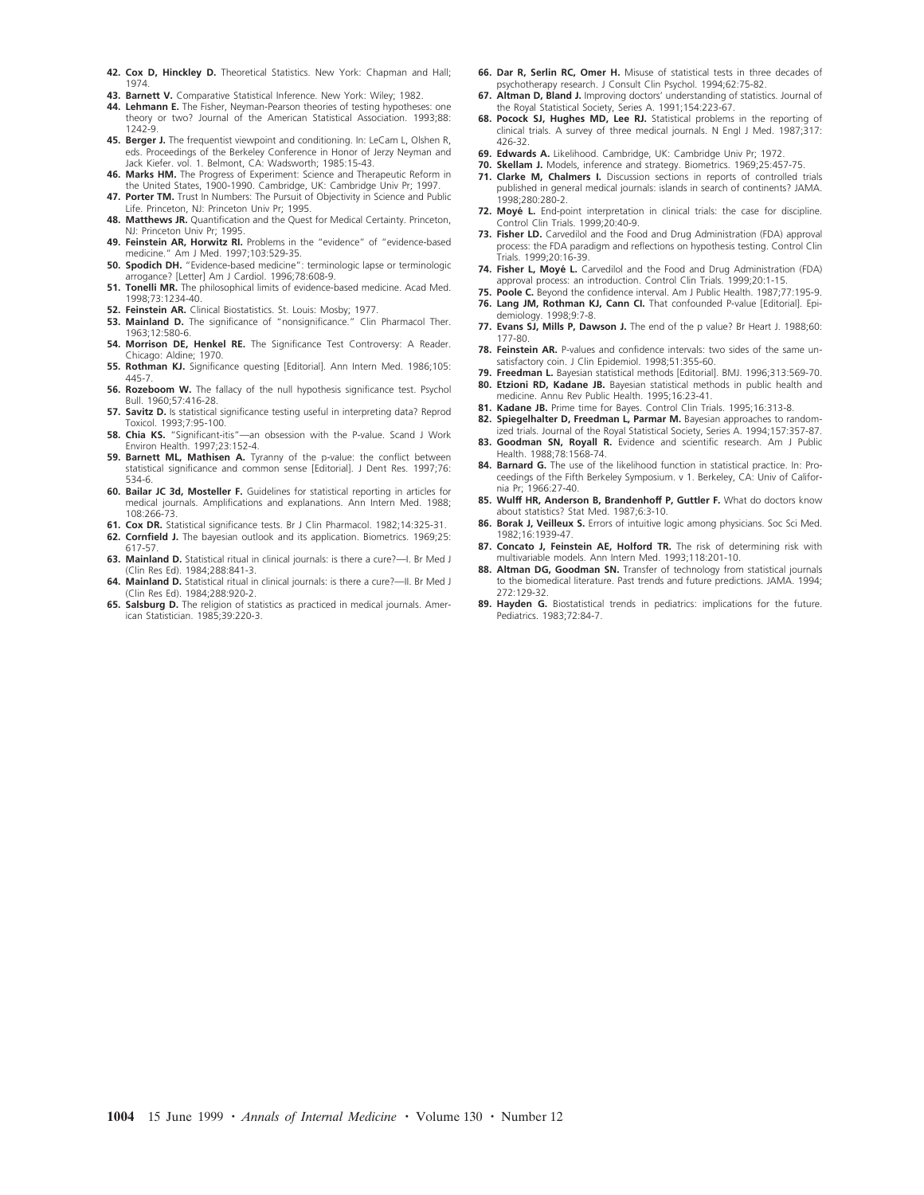- **42. Cox D, Hinckley D.** Theoretical Statistics. New York: Chapman and Hall; 1974.
- **43. Barnett V.** Comparative Statistical Inference. New York: Wiley; 1982.
- **44. Lehmann E.** The Fisher, Neyman-Pearson theories of testing hypotheses: one theory or two? Journal of the American Statistical Association. 1993;88: 1242-9.
- **45. Berger J.** The frequentist viewpoint and conditioning. In: LeCam L, Olshen R, eds. Proceedings of the Berkeley Conference in Honor of Jerzy Neyman and Jack Kiefer. vol. 1. Belmont, CA: Wadsworth; 1985:15-43.
- **46. Marks HM.** The Progress of Experiment: Science and Therapeutic Reform in the United States, 1900-1990. Cambridge, UK: Cambridge Univ Pr; 1997.
- **47. Porter TM.** Trust In Numbers: The Pursuit of Objectivity in Science and Public Life. Princeton, NJ: Princeton Univ Pr; 1995.
- **48. Matthews JR.** Quantification and the Quest for Medical Certainty. Princeton, NJ: Princeton Univ Pr; 1995.
- **49. Feinstein AR, Horwitz RI.** Problems in the "evidence" of "evidence-based
- medicine." Am J Med. 1997;103:529-35. **50. Spodich DH.** "Evidence-based medicine": terminologic lapse or terminologic arrogance? [Letter] Am J Cardiol. 1996;78:608-9.
- **51. Tonelli MR.** The philosophical limits of evidence-based medicine. Acad Med. 1998;73:1234-40.
- **52. Feinstein AR.** Clinical Biostatistics. St. Louis: Mosby; 1977.
- **53. Mainland D.** The significance of "nonsignificance." Clin Pharmacol Ther.
- 1963;12:580-6. **54. Morrison DE, Henkel RE.** The Significance Test Controversy: A Reader. Chicago: Aldine; 1970.
- **55. Rothman KJ.** Significance questing [Editorial]. Ann Intern Med. 1986;105: 445-7.
- **56. Rozeboom W.** The fallacy of the null hypothesis significance test. Psychol Bull. 1960;57:416-28.
- **57. Savitz D.** Is statistical significance testing useful in interpreting data? Reprod Toxicol. 1993;7:95-100.
- **58. Chia KS.** "Significant-itis"—an obsession with the P-value. Scand J Work Environ Health. 1997;23:152-4.
- **59. Barnett ML, Mathisen A.** Tyranny of the p-value: the conflict between statistical significance and common sense [Editorial]. J Dent Res. 1997;76: 534-6.
- **60. Bailar JC 3d, Mosteller F.** Guidelines for statistical reporting in articles for medical journals. Amplifications and explanations. Ann Intern Med. 1988; 108:266-73.
- **61. Cox DR.** Statistical significance tests. Br J Clin Pharmacol. 1982;14:325-31.
- **62. Cornfield J.** The bayesian outlook and its application. Biometrics. 1969;25: 617-57.
- **63. Mainland D.** Statistical ritual in clinical journals: is there a cure?—I. Br Med J (Clin Res Ed). 1984;288:841-3.
- **64. Mainland D.** Statistical ritual in clinical journals: is there a cure?-II. Br Med J (Clin Res Ed). 1984;288:920-2.
- **65. Salsburg D.** The religion of statistics as practiced in medical journals. American Statistician. 1985;39:220-3.
- **66. Dar R, Serlin RC, Omer H.** Misuse of statistical tests in three decades of psychotherapy research. J Consult Clin Psychol. 1994;62:75-82.
- **67. Altman D, Bland J.** Improving doctors' understanding of statistics. Journal of the Royal Statistical Society, Series A. 1991;154:223-67.
- **68. Pocock SJ, Hughes MD, Lee RJ.** Statistical problems in the reporting of clinical trials. A survey of three medical journals. N Engl J Med. 1987;317: 426-32.
- **69. Edwards A.** Likelihood. Cambridge, UK: Cambridge Univ Pr; 1972.
- **70. Skellam J.** Models, inference and strategy. Biometrics. 1969;25:457-75.
- **71. Clarke M, Chalmers I.** Discussion sections in reports of controlled trials published in general medical journals: islands in search of continents? JAMA. 1998;280:280-2.
- 72. Moyé L. End-point interpretation in clinical trials: the case for discipline. Control Clin Trials. 1999;20:40-9.
- 73. Fisher LD. Carvedilol and the Food and Drug Administration (FDA) approval process: the FDA paradigm and reflections on hypothesis testing. Control Clin Trials. 1999;20:16-39.
- 74. Fisher L, Moyé L. Carvedilol and the Food and Drug Administration (FDA) approval process: an introduction. Control Clin Trials. 1999;20:1-15.
- **75. Poole C.** Beyond the confidence interval. Am J Public Health. 1987;77:195-9.
- **76. Lang JM, Rothman KJ, Cann CI.** That confounded P-value [Editorial]. Epidemiology. 1998;9:7-8.
- **77. Evans SJ, Mills P, Dawson J.** The end of the p value? Br Heart J. 1988;60: 177-80.
- **78. Feinstein AR.** P-values and confidence intervals: two sides of the same unsatisfactory coin. J Clin Epidemiol. 1998;51:355-60.
- **79. Freedman L.** Bayesian statistical methods [Editorial]. BMJ. 1996;313:569-70. **80. Etzioni RD, Kadane JB.** Bayesian statistical methods in public health and medicine. Annu Rev Public Health. 1995;16:23-41.
- **81. Kadane JB.** Prime time for Bayes. Control Clin Trials. 1995;16:313-8.
- 82. Spiegelhalter D, Freedman L, Parmar M. Bayesian approaches to random-
- ized trials. Journal of the Royal Statistical Society, Series A. 1994;157:357-87. **83. Goodman SN, Royall R.** Evidence and scientific research. Am J Public
- Health. 1988;78:1568-74. **84. Barnard G.** The use of the likelihood function in statistical practice. In: Proceedings of the Fifth Berkeley Symposium. v 1. Berkeley, CA: Univ of Califor-
- nia Pr; 1966:27-40. **85. Wulff HR, Anderson B, Brandenhoff P, Guttler F.** What do doctors know
- about statistics? Stat Med. 1987;6:3-10. **86. Borak J, Veilleux S.** Errors of intuitive logic among physicians. Soc Sci Med.
- 1982;16:1939-47. **87. Concato J, Feinstein AE, Holford TR.** The risk of determining risk with multivariable models. Ann Intern Med. 1993;118:201-10.
- **88. Altman DG, Goodman SN.** Transfer of technology from statistical journals to the biomedical literature. Past trends and future predictions. JAMA. 1994: 272:129-32.
- **89. Hayden G.** Biostatistical trends in pediatrics: implications for the future. Pediatrics. 1983;72:84-7.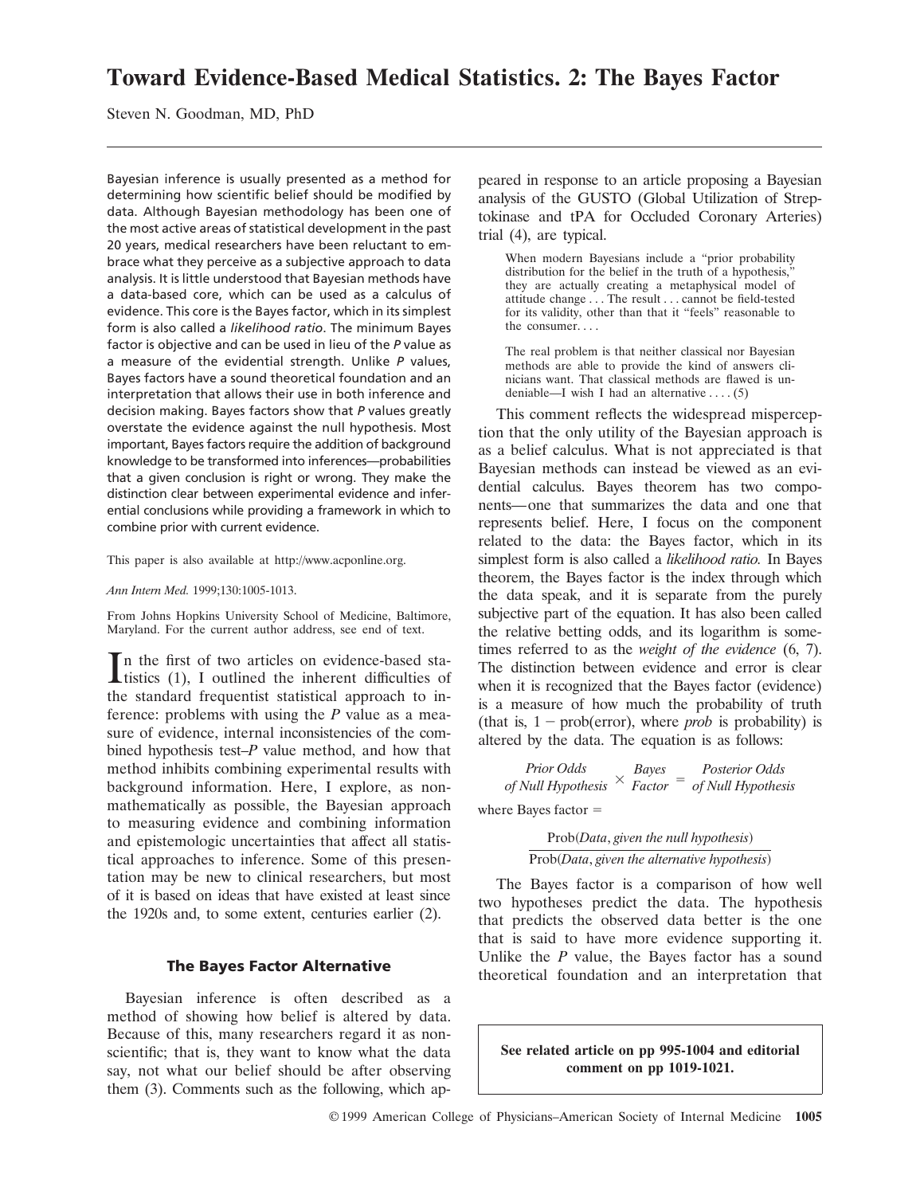# **Toward Evidence-Based Medical Statistics. 2: The Bayes Factor**

Steven N. Goodman, MD, PhD

Bayesian inference is usually presented as a method for determining how scientific belief should be modified by data. Although Bayesian methodology has been one of the most active areas of statistical development in the past 20 years, medical researchers have been reluctant to embrace what they perceive as a subjective approach to data analysis. It is little understood that Bayesian methods have a data-based core, which can be used as a calculus of evidence. This core is the Bayes factor, which in its simplest form is also called a *likelihood ratio*. The minimum Bayes factor is objective and can be used in lieu of the *P* value as a measure of the evidential strength. Unlike *P* values, Bayes factors have a sound theoretical foundation and an interpretation that allows their use in both inference and decision making. Bayes factors show that *P* values greatly overstate the evidence against the null hypothesis. Most important, Bayes factors require the addition of background knowledge to be transformed into inferences—probabilities that a given conclusion is right or wrong. They make the distinction clear between experimental evidence and inferential conclusions while providing a framework in which to combine prior with current evidence.

This paper is also available at http://www.acponline.org.

*Ann Intern Med.* 1999;130:1005-1013.

From Johns Hopkins University School of Medicine, Baltimore, Maryland. For the current author address, see end of text.

In the first of two articles on evidence-based statistics  $(1)$ , I outlined the inherent difficulties of n the first of two articles on evidence-based stathe standard frequentist statistical approach to inference: problems with using the *P* value as a measure of evidence, internal inconsistencies of the combined hypothesis test–*P* value method, and how that method inhibits combining experimental results with background information. Here, I explore, as nonmathematically as possible, the Bayesian approach to measuring evidence and combining information and epistemologic uncertainties that affect all statistical approaches to inference. Some of this presentation may be new to clinical researchers, but most of it is based on ideas that have existed at least since the 1920s and, to some extent, centuries earlier (2).

## **The Bayes Factor Alternative**

Bayesian inference is often described as a method of showing how belief is altered by data. Because of this, many researchers regard it as nonscientific; that is, they want to know what the data say, not what our belief should be after observing them (3). Comments such as the following, which appeared in response to an article proposing a Bayesian analysis of the GUSTO (Global Utilization of Streptokinase and tPA for Occluded Coronary Arteries) trial (4), are typical.

When modern Bayesians include a "prior probability distribution for the belief in the truth of a hypothesis, they are actually creating a metaphysical model of attitude change . . . The result... cannot be field-tested for its validity, other than that it "feels" reasonable to the consumer....

The real problem is that neither classical nor Bayesian methods are able to provide the kind of answers clinicians want. That classical methods are flawed is undeniable—I wish I had an alternative  $\dots$  (5)

This comment reflects the widespread misperception that the only utility of the Bayesian approach is as a belief calculus. What is not appreciated is that Bayesian methods can instead be viewed as an evidential calculus. Bayes theorem has two components—one that summarizes the data and one that represents belief. Here, I focus on the component related to the data: the Bayes factor, which in its simplest form is also called a *likelihood ratio.* In Bayes theorem, the Bayes factor is the index through which the data speak, and it is separate from the purely subjective part of the equation. It has also been called the relative betting odds, and its logarithm is sometimes referred to as the *weight of the evidence* (6, 7). The distinction between evidence and error is clear when it is recognized that the Bayes factor (evidence) is a measure of how much the probability of truth (that is,  $1 - prob(error)$ , where *prob* is probability) is altered by the data. The equation is as follows:

| <i>Prior Odds</i>            |  | Bayes | <i>Posterior Odds</i> |                    |
|------------------------------|--|-------|-----------------------|--------------------|
| of Null Hypothesis $\lambda$ |  |       | Factor                | of Null Hypothesis |

where Bayes factor  $=$ 

Prob~*Data*, *given the null hypothesis*! Prob~*Data*, *given the alternative hypothesis*!

The Bayes factor is a comparison of how well two hypotheses predict the data. The hypothesis that predicts the observed data better is the one that is said to have more evidence supporting it. Unlike the *P* value, the Bayes factor has a sound theoretical foundation and an interpretation that

**See related article on pp 995-1004 and editorial comment on pp 1019-1021.**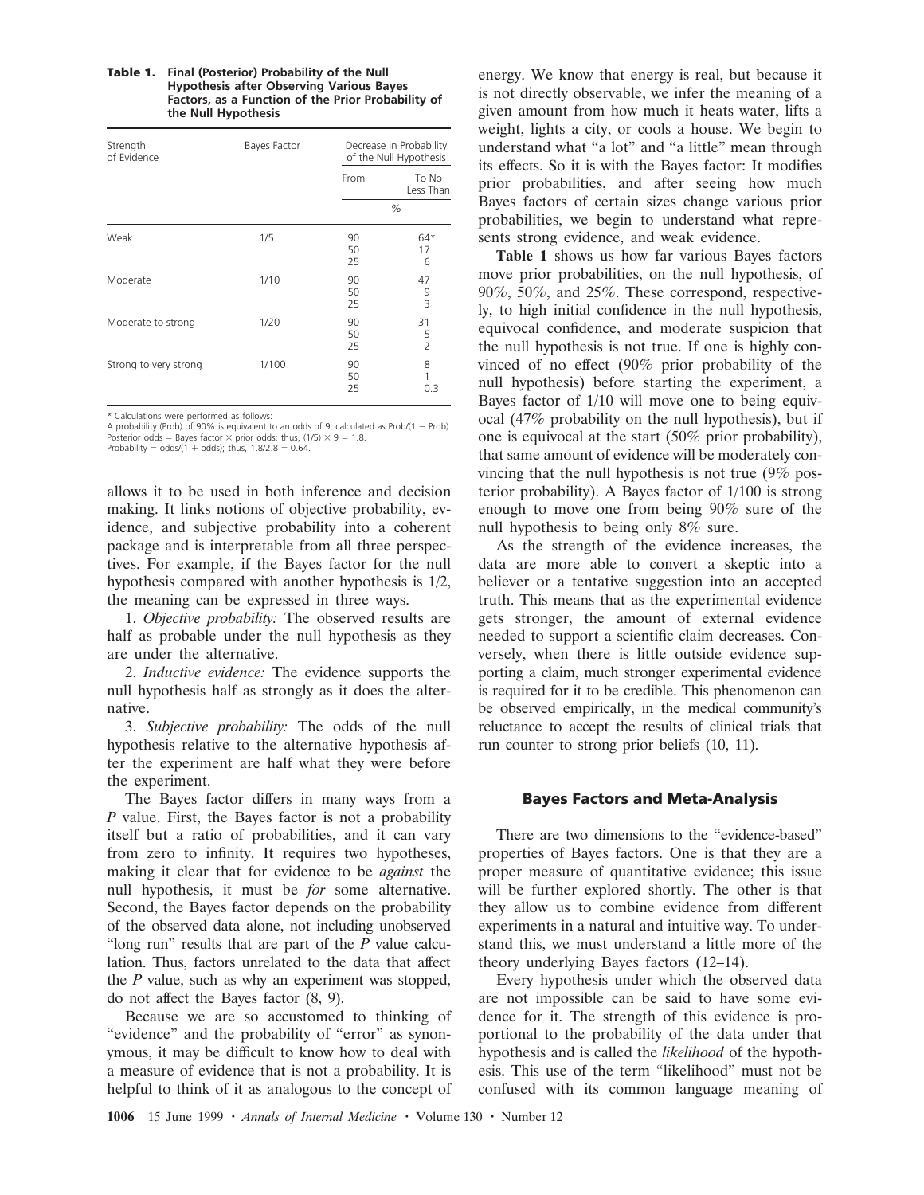| Table 1. | Final (Posterior) Probability of the Null          |
|----------|----------------------------------------------------|
|          | <b>Hypothesis after Observing Various Bayes</b>    |
|          | Factors, as a Function of the Prior Probability of |
|          | the Null Hypothesis                                |

| Strength<br>of Evidence | Bayes Factor |                | Decrease in Probability<br>of the Null Hypothesis |  |
|-------------------------|--------------|----------------|---------------------------------------------------|--|
|                         |              | From           | To No<br>Less Than                                |  |
|                         |              |                | $\%$                                              |  |
| Weak                    | 1/5          | 90<br>50<br>25 | 64*<br>17<br>6                                    |  |
| Moderate                | 1/10         | 90<br>50<br>25 | 47<br>9<br>3                                      |  |
| Moderate to strong      | 1/20         | 90<br>50<br>25 | 31<br>5<br>$\overline{2}$                         |  |
| Strong to very strong   | 1/100        | 90<br>50<br>25 | 8<br>1<br>0.3                                     |  |

\* Calculations were performed as follows:

A probability (Prob) of 90% is equivalent to an odds of 9, calculated as Prob/(1 - Prob). Posterior odds = Bayes factor  $\times$  prior odds; thus, (1/5)  $\times$  9 = 1.8. Probability = odds/(1 + odds); thus,  $1.8/2.8 = 0.64$ .

allows it to be used in both inference and decision making. It links notions of objective probability, evidence, and subjective probability into a coherent package and is interpretable from all three perspectives. For example, if the Bayes factor for the null hypothesis compared with another hypothesis is 1/2, the meaning can be expressed in three ways.

1. *Objective probability:* The observed results are half as probable under the null hypothesis as they are under the alternative.

2. *Inductive evidence:* The evidence supports the null hypothesis half as strongly as it does the alternative.

3. *Subjective probability:* The odds of the null hypothesis relative to the alternative hypothesis after the experiment are half what they were before the experiment.

The Bayes factor differs in many ways from a *P* value. First, the Bayes factor is not a probability itself but a ratio of probabilities, and it can vary from zero to infinity. It requires two hypotheses, making it clear that for evidence to be *against* the null hypothesis, it must be *for* some alternative. Second, the Bayes factor depends on the probability of the observed data alone, not including unobserved "long run" results that are part of the *P* value calculation. Thus, factors unrelated to the data that affect the *P* value, such as why an experiment was stopped, do not affect the Bayes factor (8, 9).

Because we are so accustomed to thinking of "evidence" and the probability of "error" as synonymous, it may be difficult to know how to deal with a measure of evidence that is not a probability. It is helpful to think of it as analogous to the concept of

energy. We know that energy is real, but because it is not directly observable, we infer the meaning of a given amount from how much it heats water, lifts a weight, lights a city, or cools a house. We begin to understand what "a lot" and "a little" mean through its effects. So it is with the Bayes factor: It modifies prior probabilities, and after seeing how much Bayes factors of certain sizes change various prior probabilities, we begin to understand what represents strong evidence, and weak evidence.

**Table 1** shows us how far various Bayes factors move prior probabilities, on the null hypothesis, of 90%, 50%, and 25%. These correspond, respectively, to high initial confidence in the null hypothesis, equivocal confidence, and moderate suspicion that the null hypothesis is not true. If one is highly convinced of no effect (90% prior probability of the null hypothesis) before starting the experiment, a Bayes factor of 1/10 will move one to being equivocal (47% probability on the null hypothesis), but if one is equivocal at the start (50% prior probability), that same amount of evidence will be moderately convincing that the null hypothesis is not true (9% posterior probability). A Bayes factor of 1/100 is strong enough to move one from being 90% sure of the null hypothesis to being only 8% sure.

As the strength of the evidence increases, the data are more able to convert a skeptic into a believer or a tentative suggestion into an accepted truth. This means that as the experimental evidence gets stronger, the amount of external evidence needed to support a scientific claim decreases. Conversely, when there is little outside evidence supporting a claim, much stronger experimental evidence is required for it to be credible. This phenomenon can be observed empirically, in the medical community's reluctance to accept the results of clinical trials that run counter to strong prior beliefs (10, 11).

## **Bayes Factors and Meta-Analysis**

There are two dimensions to the "evidence-based" properties of Bayes factors. One is that they are a proper measure of quantitative evidence; this issue will be further explored shortly. The other is that they allow us to combine evidence from different experiments in a natural and intuitive way. To understand this, we must understand a little more of the theory underlying Bayes factors (12–14).

Every hypothesis under which the observed data are not impossible can be said to have some evidence for it. The strength of this evidence is proportional to the probability of the data under that hypothesis and is called the *likelihood* of the hypothesis. This use of the term "likelihood" must not be confused with its common language meaning of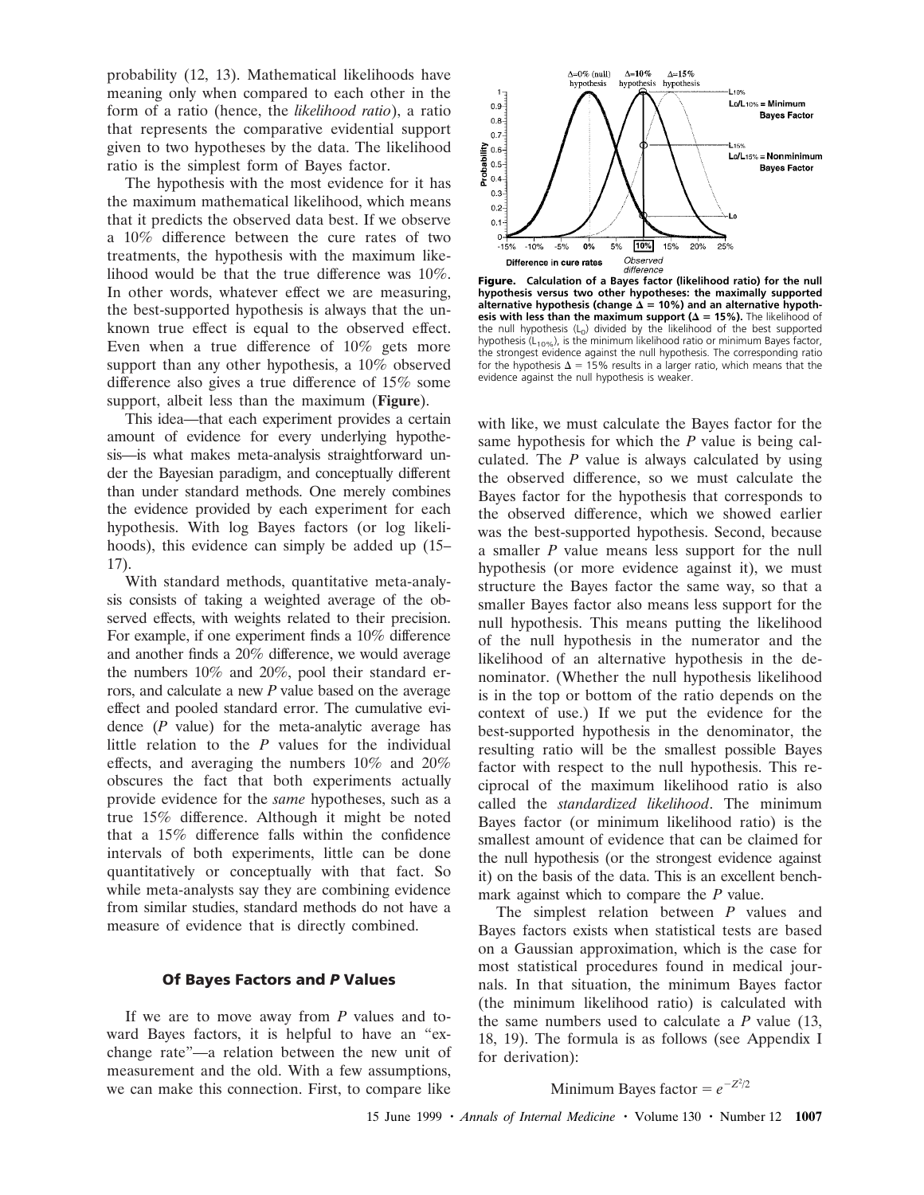probability (12, 13). Mathematical likelihoods have meaning only when compared to each other in the form of a ratio (hence, the *likelihood ratio*), a ratio that represents the comparative evidential support given to two hypotheses by the data. The likelihood ratio is the simplest form of Bayes factor.

The hypothesis with the most evidence for it has the maximum mathematical likelihood, which means that it predicts the observed data best. If we observe a 10% difference between the cure rates of two treatments, the hypothesis with the maximum likelihood would be that the true difference was 10%. In other words, whatever effect we are measuring, the best-supported hypothesis is always that the unknown true effect is equal to the observed effect. Even when a true difference of 10% gets more support than any other hypothesis, a 10% observed difference also gives a true difference of 15% some support, albeit less than the maximum (**Figure**).

This idea—that each experiment provides a certain amount of evidence for every underlying hypothesis—is what makes meta-analysis straightforward under the Bayesian paradigm, and conceptually different than under standard methods. One merely combines the evidence provided by each experiment for each hypothesis. With log Bayes factors (or log likelihoods), this evidence can simply be added up (15– 17).

With standard methods, quantitative meta-analysis consists of taking a weighted average of the observed effects, with weights related to their precision. For example, if one experiment finds a 10% difference and another finds a 20% difference, we would average the numbers 10% and 20%, pool their standard errors, and calculate a new *P* value based on the average effect and pooled standard error. The cumulative evidence (*P* value) for the meta-analytic average has little relation to the *P* values for the individual effects, and averaging the numbers 10% and 20% obscures the fact that both experiments actually provide evidence for the *same* hypotheses, such as a true 15% difference. Although it might be noted that a 15% difference falls within the confidence intervals of both experiments, little can be done quantitatively or conceptually with that fact. So while meta-analysts say they are combining evidence from similar studies, standard methods do not have a measure of evidence that is directly combined.

### **Of Bayes Factors and** *P* **Values**

If we are to move away from *P* values and toward Bayes factors, it is helpful to have an "exchange rate"—a relation between the new unit of measurement and the old. With a few assumptions, we can make this connection. First, to compare like



**Figure. Calculation of a Bayes factor (likelihood ratio) for the null hypothesis versus two other hypotheses: the maximally supported** alternative hypothesis (change  $\Delta = 10\%$ ) and an alternative hypoth**esis with less than the maximum support (** $\Delta = 15\%$ **).** The likelihood of the null hypothesis  $(L_0)$  divided by the likelihood of the best supported hypothesis  $(L_{10\%})$ , is the minimum likelihood ratio or minimum Bayes factor, the strongest evidence against the null hypothesis. The corresponding ratio for the hypothesis  $\Delta = 15\%$  results in a larger ratio, which means that the evidence against the null hypothesis is weaker.

with like, we must calculate the Bayes factor for the same hypothesis for which the *P* value is being calculated. The *P* value is always calculated by using the observed difference, so we must calculate the Bayes factor for the hypothesis that corresponds to the observed difference, which we showed earlier was the best-supported hypothesis. Second, because a smaller *P* value means less support for the null hypothesis (or more evidence against it), we must structure the Bayes factor the same way, so that a smaller Bayes factor also means less support for the null hypothesis. This means putting the likelihood of the null hypothesis in the numerator and the likelihood of an alternative hypothesis in the denominator. (Whether the null hypothesis likelihood is in the top or bottom of the ratio depends on the context of use.) If we put the evidence for the best-supported hypothesis in the denominator, the resulting ratio will be the smallest possible Bayes factor with respect to the null hypothesis. This reciprocal of the maximum likelihood ratio is also called the *standardized likelihood*. The minimum Bayes factor (or minimum likelihood ratio) is the smallest amount of evidence that can be claimed for the null hypothesis (or the strongest evidence against it) on the basis of the data. This is an excellent benchmark against which to compare the *P* value.

The simplest relation between *P* values and Bayes factors exists when statistical tests are based on a Gaussian approximation, which is the case for most statistical procedures found in medical journals. In that situation, the minimum Bayes factor (the minimum likelihood ratio) is calculated with the same numbers used to calculate a *P* value (13, 18, 19). The formula is as follows (see Appendix I for derivation):

## Minimum Bayes factor  $= e^{-Z^2/2}$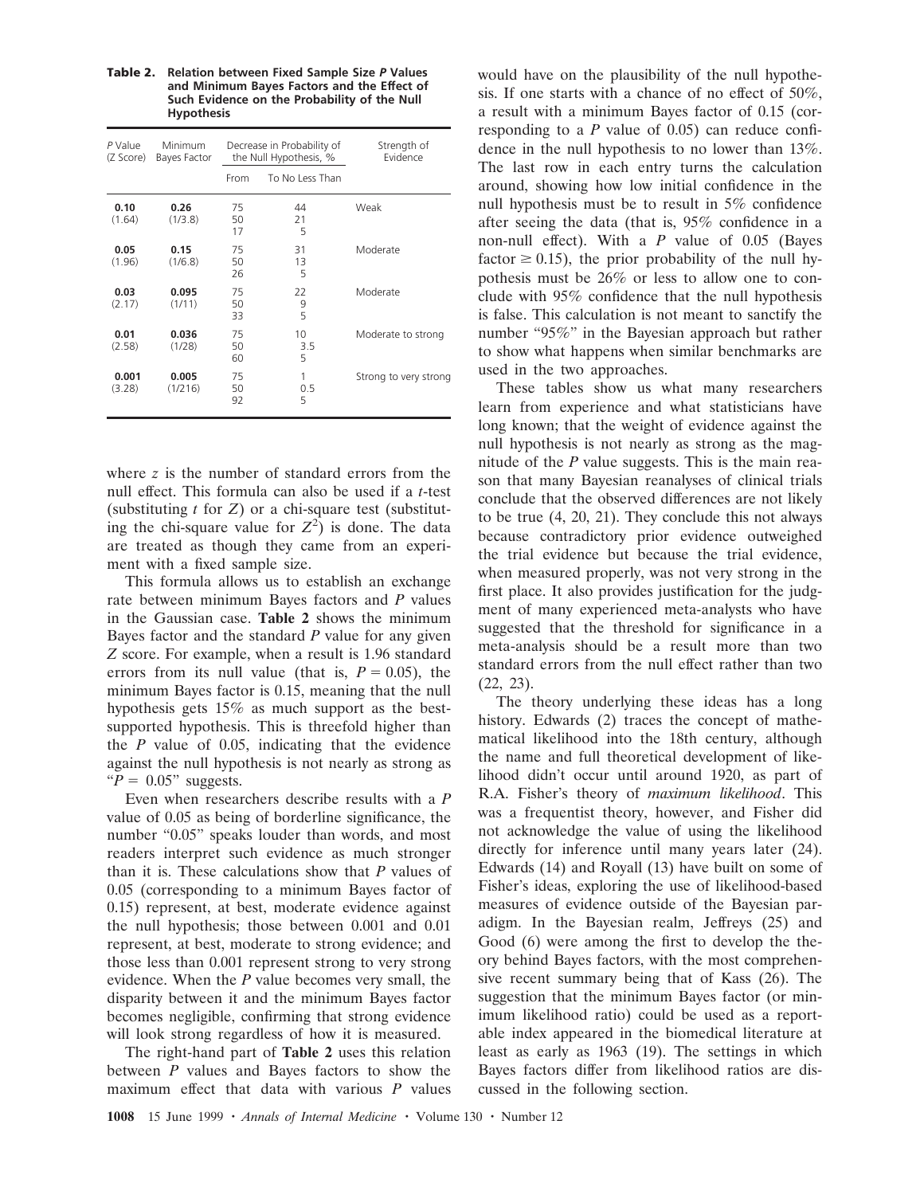| P Value<br>(Z Score) | Minimum<br>Bayes Factor | Decrease in Probability of<br>the Null Hypothesis, % |                | Strength of<br>Evidence |  |
|----------------------|-------------------------|------------------------------------------------------|----------------|-------------------------|--|
|                      | From                    | To No Less Than                                      |                |                         |  |
| 0.10<br>(1.64)       | 0.26<br>(1/3.8)         | 75<br>50<br>17                                       | 44<br>21<br>5  | Weak                    |  |
| 0.05<br>(1.96)       | 0.15<br>(1/6.8)         | 75<br>50<br>26                                       | 31<br>13<br>5  | Moderate                |  |
| 0.03<br>(2.17)       | 0.095<br>(1/11)         | 75<br>50<br>33                                       | 22<br>9<br>5   | Moderate                |  |
| 0.01<br>(2.58)       | 0.036<br>(1/28)         | 75<br>50<br>60                                       | 10<br>3.5<br>5 | Moderate to strong      |  |
| 0.001<br>(3.28)      | 0.005<br>(1/216)        | 75<br>50<br>92                                       | 1<br>0.5<br>5  | Strong to very strong   |  |

**Table 2. Relation between Fixed Sample Size** *P* **Values and Minimum Bayes Factors and the Effect of Such Evidence on the Probability of the Null Hypothesis**

where *z* is the number of standard errors from the null effect. This formula can also be used if a *t*-test (substituting *t* for *Z*) or a chi-square test (substituting the chi-square value for  $Z^2$ ) is done. The data are treated as though they came from an experiment with a fixed sample size.

This formula allows us to establish an exchange rate between minimum Bayes factors and *P* values in the Gaussian case. **Table 2** shows the minimum Bayes factor and the standard *P* value for any given *Z* score. For example, when a result is 1.96 standard errors from its null value (that is,  $P = 0.05$ ), the minimum Bayes factor is 0.15, meaning that the null hypothesis gets 15% as much support as the bestsupported hypothesis. This is threefold higher than the *P* value of 0.05, indicating that the evidence against the null hypothesis is not nearly as strong as " $P = 0.05$ " suggests.

Even when researchers describe results with a *P* value of 0.05 as being of borderline significance, the number "0.05" speaks louder than words, and most readers interpret such evidence as much stronger than it is. These calculations show that *P* values of 0.05 (corresponding to a minimum Bayes factor of 0.15) represent, at best, moderate evidence against the null hypothesis; those between 0.001 and 0.01 represent, at best, moderate to strong evidence; and those less than 0.001 represent strong to very strong evidence. When the *P* value becomes very small, the disparity between it and the minimum Bayes factor becomes negligible, confirming that strong evidence will look strong regardless of how it is measured.

The right-hand part of **Table 2** uses this relation between *P* values and Bayes factors to show the maximum effect that data with various *P* values

would have on the plausibility of the null hypothesis. If one starts with a chance of no effect of 50%, a result with a minimum Bayes factor of 0.15 (corresponding to a *P* value of 0.05) can reduce confidence in the null hypothesis to no lower than 13%. The last row in each entry turns the calculation around, showing how low initial confidence in the null hypothesis must be to result in 5% confidence after seeing the data (that is, 95% confidence in a non-null effect). With a *P* value of 0.05 (Bayes factor  $\geq 0.15$ ), the prior probability of the null hypothesis must be 26% or less to allow one to conclude with 95% confidence that the null hypothesis is false. This calculation is not meant to sanctify the number "95%" in the Bayesian approach but rather to show what happens when similar benchmarks are used in the two approaches.

These tables show us what many researchers learn from experience and what statisticians have long known; that the weight of evidence against the null hypothesis is not nearly as strong as the magnitude of the *P* value suggests. This is the main reason that many Bayesian reanalyses of clinical trials conclude that the observed differences are not likely to be true (4, 20, 21). They conclude this not always because contradictory prior evidence outweighed the trial evidence but because the trial evidence, when measured properly, was not very strong in the first place. It also provides justification for the judgment of many experienced meta-analysts who have suggested that the threshold for significance in a meta-analysis should be a result more than two standard errors from the null effect rather than two (22, 23).

The theory underlying these ideas has a long history. Edwards (2) traces the concept of mathematical likelihood into the 18th century, although the name and full theoretical development of likelihood didn't occur until around 1920, as part of R.A. Fisher's theory of *maximum likelihood*. This was a frequentist theory, however, and Fisher did not acknowledge the value of using the likelihood directly for inference until many years later (24). Edwards (14) and Royall (13) have built on some of Fisher's ideas, exploring the use of likelihood-based measures of evidence outside of the Bayesian paradigm. In the Bayesian realm, Jeffreys (25) and Good (6) were among the first to develop the theory behind Bayes factors, with the most comprehensive recent summary being that of Kass (26). The suggestion that the minimum Bayes factor (or minimum likelihood ratio) could be used as a reportable index appeared in the biomedical literature at least as early as 1963 (19). The settings in which Bayes factors differ from likelihood ratios are discussed in the following section.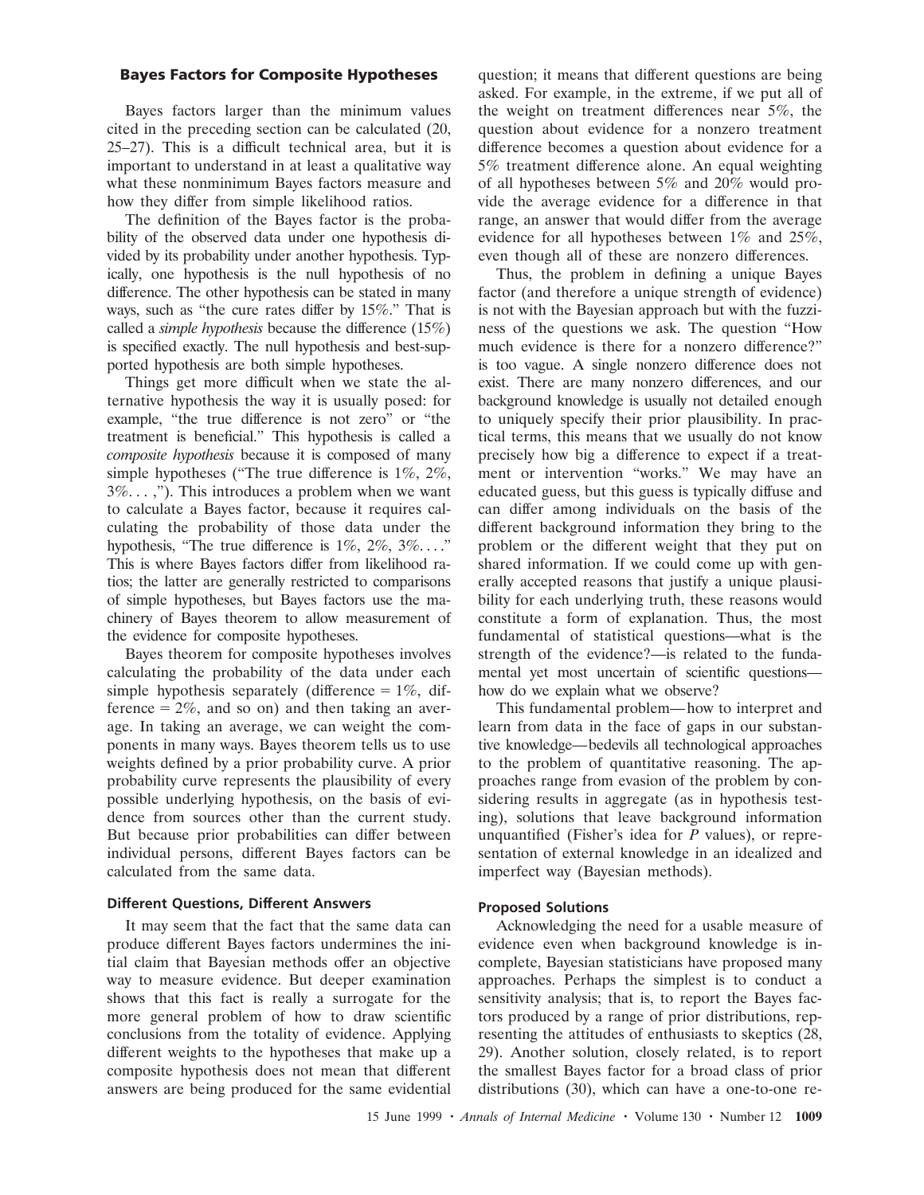## **Bayes Factors for Composite Hypotheses**

Bayes factors larger than the minimum values cited in the preceding section can be calculated (20, 25–27). This is a difficult technical area, but it is important to understand in at least a qualitative way what these nonminimum Bayes factors measure and how they differ from simple likelihood ratios.

The definition of the Bayes factor is the probability of the observed data under one hypothesis divided by its probability under another hypothesis. Typically, one hypothesis is the null hypothesis of no difference. The other hypothesis can be stated in many ways, such as "the cure rates differ by 15%." That is called a *simple hypothesis* because the difference (15%) is specified exactly. The null hypothesis and best-supported hypothesis are both simple hypotheses.

Things get more difficult when we state the alternative hypothesis the way it is usually posed: for example, "the true difference is not zero" or "the treatment is beneficial." This hypothesis is called a *composite hypothesis* because it is composed of many simple hypotheses ("The true difference is 1%, 2%,  $3\% \dots$ ."). This introduces a problem when we want to calculate a Bayes factor, because it requires calculating the probability of those data under the hypothesis, "The true difference is  $1\%$ ,  $2\%$ ,  $3\%$ , ..." This is where Bayes factors differ from likelihood ratios; the latter are generally restricted to comparisons of simple hypotheses, but Bayes factors use the machinery of Bayes theorem to allow measurement of the evidence for composite hypotheses.

Bayes theorem for composite hypotheses involves calculating the probability of the data under each simple hypothesis separately (difference  $= 1\%$ , difference  $= 2\%$ , and so on) and then taking an average. In taking an average, we can weight the components in many ways. Bayes theorem tells us to use weights defined by a prior probability curve. A prior probability curve represents the plausibility of every possible underlying hypothesis, on the basis of evidence from sources other than the current study. But because prior probabilities can differ between individual persons, different Bayes factors can be calculated from the same data.

#### **Different Questions, Different Answers**

It may seem that the fact that the same data can produce different Bayes factors undermines the initial claim that Bayesian methods offer an objective way to measure evidence. But deeper examination shows that this fact is really a surrogate for the more general problem of how to draw scientific conclusions from the totality of evidence. Applying different weights to the hypotheses that make up a composite hypothesis does not mean that different answers are being produced for the same evidential

question; it means that different questions are being asked. For example, in the extreme, if we put all of the weight on treatment differences near 5%, the question about evidence for a nonzero treatment difference becomes a question about evidence for a 5% treatment difference alone. An equal weighting of all hypotheses between 5% and 20% would provide the average evidence for a difference in that range, an answer that would differ from the average evidence for all hypotheses between 1% and 25%, even though all of these are nonzero differences.

Thus, the problem in defining a unique Bayes factor (and therefore a unique strength of evidence) is not with the Bayesian approach but with the fuzziness of the questions we ask. The question "How much evidence is there for a nonzero difference?" is too vague. A single nonzero difference does not exist. There are many nonzero differences, and our background knowledge is usually not detailed enough to uniquely specify their prior plausibility. In practical terms, this means that we usually do not know precisely how big a difference to expect if a treatment or intervention "works." We may have an educated guess, but this guess is typically diffuse and can differ among individuals on the basis of the different background information they bring to the problem or the different weight that they put on shared information. If we could come up with generally accepted reasons that justify a unique plausibility for each underlying truth, these reasons would constitute a form of explanation. Thus, the most fundamental of statistical questions—what is the strength of the evidence?—is related to the fundamental yet most uncertain of scientific questions how do we explain what we observe?

This fundamental problem—how to interpret and learn from data in the face of gaps in our substantive knowledge—bedevils all technological approaches to the problem of quantitative reasoning. The approaches range from evasion of the problem by considering results in aggregate (as in hypothesis testing), solutions that leave background information unquantified (Fisher's idea for *P* values), or representation of external knowledge in an idealized and imperfect way (Bayesian methods).

## **Proposed Solutions**

Acknowledging the need for a usable measure of evidence even when background knowledge is incomplete, Bayesian statisticians have proposed many approaches. Perhaps the simplest is to conduct a sensitivity analysis; that is, to report the Bayes factors produced by a range of prior distributions, representing the attitudes of enthusiasts to skeptics (28, 29). Another solution, closely related, is to report the smallest Bayes factor for a broad class of prior distributions (30), which can have a one-to-one re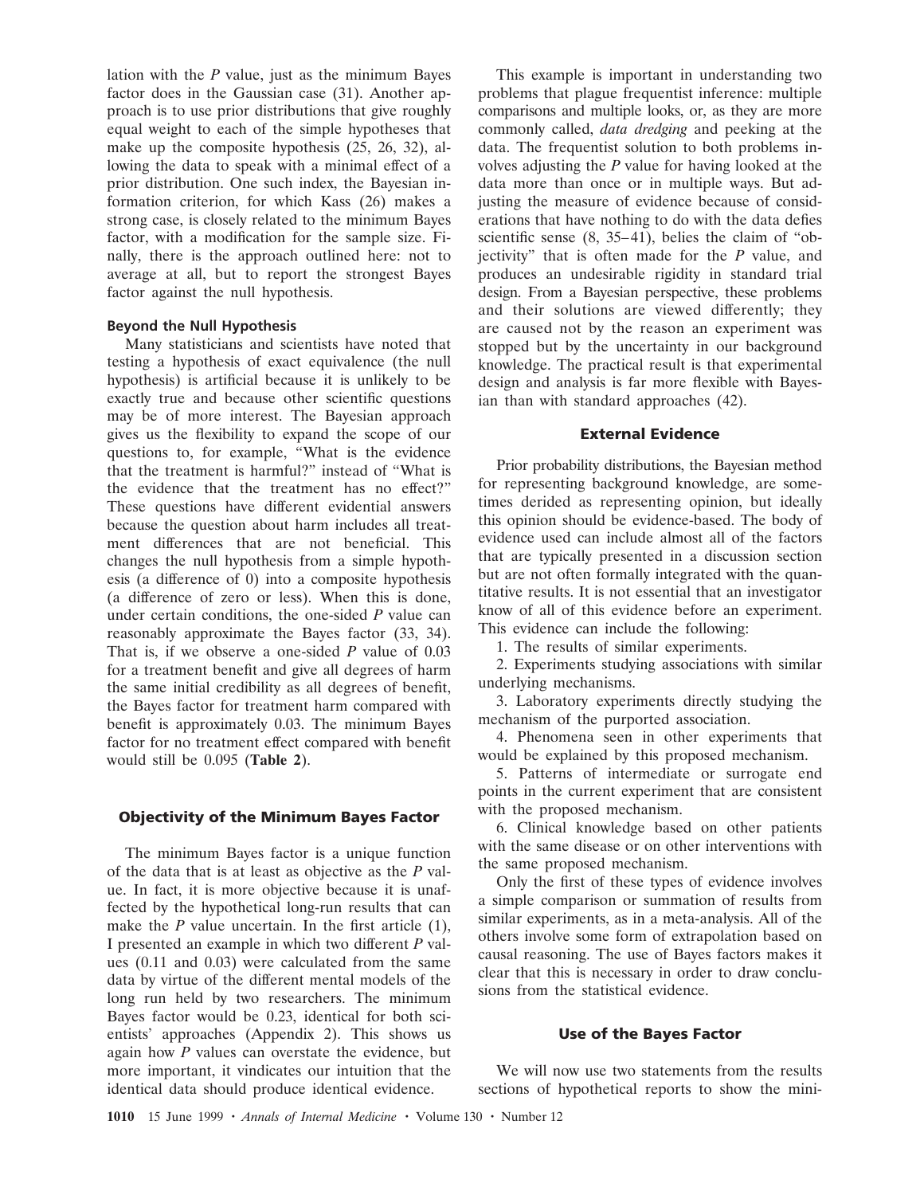lation with the *P* value, just as the minimum Bayes factor does in the Gaussian case (31). Another approach is to use prior distributions that give roughly equal weight to each of the simple hypotheses that make up the composite hypothesis (25, 26, 32), allowing the data to speak with a minimal effect of a prior distribution. One such index, the Bayesian information criterion, for which Kass (26) makes a strong case, is closely related to the minimum Bayes factor, with a modification for the sample size. Finally, there is the approach outlined here: not to average at all, but to report the strongest Bayes factor against the null hypothesis.

## **Beyond the Null Hypothesis**

Many statisticians and scientists have noted that testing a hypothesis of exact equivalence (the null hypothesis) is artificial because it is unlikely to be exactly true and because other scientific questions may be of more interest. The Bayesian approach gives us the flexibility to expand the scope of our questions to, for example, "What is the evidence that the treatment is harmful?" instead of "What is the evidence that the treatment has no effect?" These questions have different evidential answers because the question about harm includes all treatment differences that are not beneficial. This changes the null hypothesis from a simple hypothesis (a difference of 0) into a composite hypothesis (a difference of zero or less). When this is done, under certain conditions, the one-sided *P* value can reasonably approximate the Bayes factor (33, 34). That is, if we observe a one-sided *P* value of 0.03 for a treatment benefit and give all degrees of harm the same initial credibility as all degrees of benefit, the Bayes factor for treatment harm compared with benefit is approximately 0.03. The minimum Bayes factor for no treatment effect compared with benefit would still be 0.095 (**Table 2**).

### **Objectivity of the Minimum Bayes Factor**

The minimum Bayes factor is a unique function of the data that is at least as objective as the *P* value. In fact, it is more objective because it is unaffected by the hypothetical long-run results that can make the *P* value uncertain. In the first article (1), I presented an example in which two different *P* values (0.11 and 0.03) were calculated from the same data by virtue of the different mental models of the long run held by two researchers. The minimum Bayes factor would be 0.23, identical for both scientists' approaches (Appendix 2). This shows us again how *P* values can overstate the evidence, but more important, it vindicates our intuition that the identical data should produce identical evidence.

This example is important in understanding two problems that plague frequentist inference: multiple comparisons and multiple looks, or, as they are more commonly called, *data dredging* and peeking at the data. The frequentist solution to both problems involves adjusting the *P* value for having looked at the data more than once or in multiple ways. But adjusting the measure of evidence because of considerations that have nothing to do with the data defies scientific sense  $(8, 35-41)$ , belies the claim of "objectivity" that is often made for the *P* value, and produces an undesirable rigidity in standard trial design. From a Bayesian perspective, these problems and their solutions are viewed differently; they are caused not by the reason an experiment was stopped but by the uncertainty in our background knowledge. The practical result is that experimental design and analysis is far more flexible with Bayesian than with standard approaches (42).

### **External Evidence**

Prior probability distributions, the Bayesian method for representing background knowledge, are sometimes derided as representing opinion, but ideally this opinion should be evidence-based. The body of evidence used can include almost all of the factors that are typically presented in a discussion section but are not often formally integrated with the quantitative results. It is not essential that an investigator know of all of this evidence before an experiment. This evidence can include the following:

1. The results of similar experiments.

2. Experiments studying associations with similar underlying mechanisms.

3. Laboratory experiments directly studying the mechanism of the purported association.

4. Phenomena seen in other experiments that would be explained by this proposed mechanism.

5. Patterns of intermediate or surrogate end points in the current experiment that are consistent with the proposed mechanism.

6. Clinical knowledge based on other patients with the same disease or on other interventions with the same proposed mechanism.

Only the first of these types of evidence involves a simple comparison or summation of results from similar experiments, as in a meta-analysis. All of the others involve some form of extrapolation based on causal reasoning. The use of Bayes factors makes it clear that this is necessary in order to draw conclusions from the statistical evidence.

#### **Use of the Bayes Factor**

We will now use two statements from the results sections of hypothetical reports to show the mini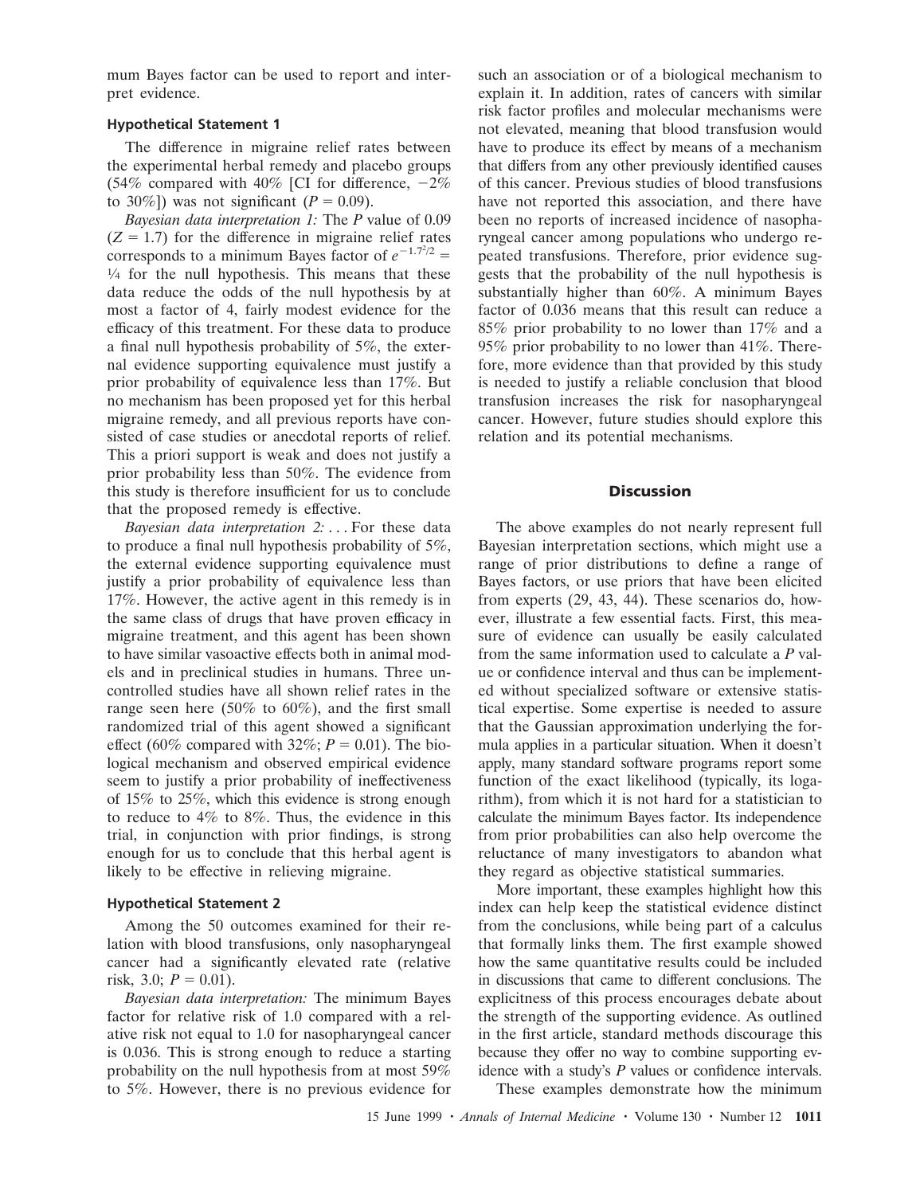mum Bayes factor can be used to report and interpret evidence.

### **Hypothetical Statement 1**

The difference in migraine relief rates between the experimental herbal remedy and placebo groups (54% compared with 40% [CI for difference,  $-2\%$ to 30%]) was not significant  $(P = 0.09)$ .

*Bayesian data interpretation 1:* The *P* value of 0.09  $(Z = 1.7)$  for the difference in migraine relief rates corresponds to a minimum Bayes factor of  $e^{-1.7^2/2}$  =  $\frac{1}{4}$  for the null hypothesis. This means that these data reduce the odds of the null hypothesis by at most a factor of 4, fairly modest evidence for the efficacy of this treatment. For these data to produce a final null hypothesis probability of 5%, the external evidence supporting equivalence must justify a prior probability of equivalence less than 17%. But no mechanism has been proposed yet for this herbal migraine remedy, and all previous reports have consisted of case studies or anecdotal reports of relief. This a priori support is weak and does not justify a prior probability less than 50%. The evidence from this study is therefore insufficient for us to conclude that the proposed remedy is effective.

*Bayesian data interpretation 2:* . . . For these data to produce a final null hypothesis probability of 5%, the external evidence supporting equivalence must justify a prior probability of equivalence less than 17%. However, the active agent in this remedy is in the same class of drugs that have proven efficacy in migraine treatment, and this agent has been shown to have similar vasoactive effects both in animal models and in preclinical studies in humans. Three uncontrolled studies have all shown relief rates in the range seen here (50% to 60%), and the first small randomized trial of this agent showed a significant effect (60% compared with 32%;  $P = 0.01$ ). The biological mechanism and observed empirical evidence seem to justify a prior probability of ineffectiveness of 15% to 25%, which this evidence is strong enough to reduce to 4% to 8%. Thus, the evidence in this trial, in conjunction with prior findings, is strong enough for us to conclude that this herbal agent is likely to be effective in relieving migraine.

## **Hypothetical Statement 2**

Among the 50 outcomes examined for their relation with blood transfusions, only nasopharyngeal cancer had a significantly elevated rate (relative risk, 3.0;  $P = 0.01$ ).

*Bayesian data interpretation:* The minimum Bayes factor for relative risk of 1.0 compared with a relative risk not equal to 1.0 for nasopharyngeal cancer is 0.036. This is strong enough to reduce a starting probability on the null hypothesis from at most 59% to 5%. However, there is no previous evidence for

such an association or of a biological mechanism to explain it. In addition, rates of cancers with similar risk factor profiles and molecular mechanisms were not elevated, meaning that blood transfusion would have to produce its effect by means of a mechanism that differs from any other previously identified causes of this cancer. Previous studies of blood transfusions have not reported this association, and there have been no reports of increased incidence of nasopharyngeal cancer among populations who undergo repeated transfusions. Therefore, prior evidence suggests that the probability of the null hypothesis is substantially higher than 60%. A minimum Bayes factor of 0.036 means that this result can reduce a 85% prior probability to no lower than 17% and a 95% prior probability to no lower than 41%. Therefore, more evidence than that provided by this study is needed to justify a reliable conclusion that blood transfusion increases the risk for nasopharyngeal cancer. However, future studies should explore this relation and its potential mechanisms.

## **Discussion**

The above examples do not nearly represent full Bayesian interpretation sections, which might use a range of prior distributions to define a range of Bayes factors, or use priors that have been elicited from experts (29, 43, 44). These scenarios do, however, illustrate a few essential facts. First, this measure of evidence can usually be easily calculated from the same information used to calculate a *P* value or confidence interval and thus can be implemented without specialized software or extensive statistical expertise. Some expertise is needed to assure that the Gaussian approximation underlying the formula applies in a particular situation. When it doesn't apply, many standard software programs report some function of the exact likelihood (typically, its logarithm), from which it is not hard for a statistician to calculate the minimum Bayes factor. Its independence from prior probabilities can also help overcome the reluctance of many investigators to abandon what they regard as objective statistical summaries.

More important, these examples highlight how this index can help keep the statistical evidence distinct from the conclusions, while being part of a calculus that formally links them. The first example showed how the same quantitative results could be included in discussions that came to different conclusions. The explicitness of this process encourages debate about the strength of the supporting evidence. As outlined in the first article, standard methods discourage this because they offer no way to combine supporting evidence with a study's *P* values or confidence intervals.

These examples demonstrate how the minimum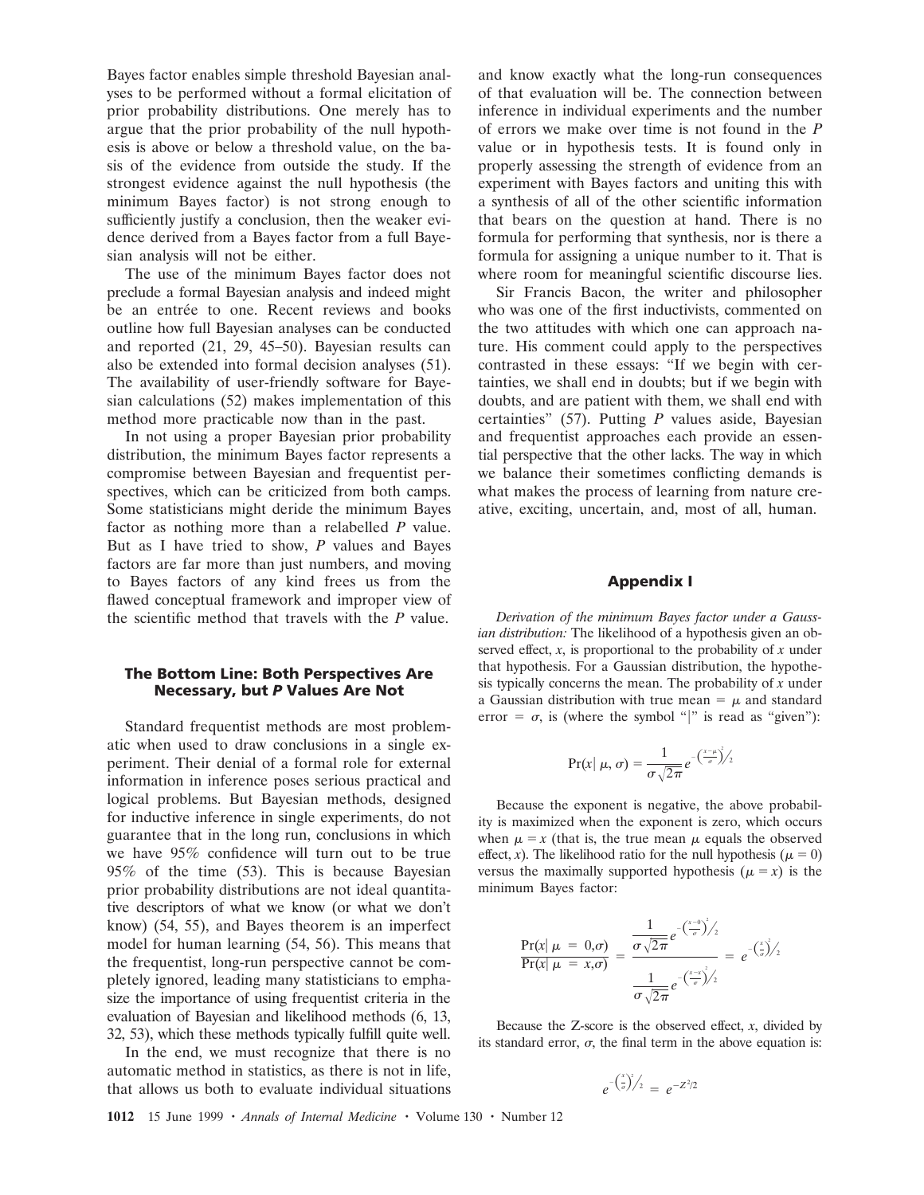Bayes factor enables simple threshold Bayesian analyses to be performed without a formal elicitation of prior probability distributions. One merely has to argue that the prior probability of the null hypothesis is above or below a threshold value, on the basis of the evidence from outside the study. If the strongest evidence against the null hypothesis (the minimum Bayes factor) is not strong enough to sufficiently justify a conclusion, then the weaker evidence derived from a Bayes factor from a full Bayesian analysis will not be either.

The use of the minimum Bayes factor does not preclude a formal Bayesian analysis and indeed might be an entrée to one. Recent reviews and books outline how full Bayesian analyses can be conducted and reported (21, 29, 45–50). Bayesian results can also be extended into formal decision analyses (51). The availability of user-friendly software for Bayesian calculations (52) makes implementation of this method more practicable now than in the past.

In not using a proper Bayesian prior probability distribution, the minimum Bayes factor represents a compromise between Bayesian and frequentist perspectives, which can be criticized from both camps. Some statisticians might deride the minimum Bayes factor as nothing more than a relabelled *P* value. But as I have tried to show, *P* values and Bayes factors are far more than just numbers, and moving to Bayes factors of any kind frees us from the flawed conceptual framework and improper view of the scientific method that travels with the *P* value.

## **The Bottom Line: Both Perspectives Are Necessary, but** *P* **Values Are Not**

Standard frequentist methods are most problematic when used to draw conclusions in a single experiment. Their denial of a formal role for external information in inference poses serious practical and logical problems. But Bayesian methods, designed for inductive inference in single experiments, do not guarantee that in the long run, conclusions in which we have 95% confidence will turn out to be true 95% of the time (53). This is because Bayesian prior probability distributions are not ideal quantitative descriptors of what we know (or what we don't know) (54, 55), and Bayes theorem is an imperfect model for human learning (54, 56). This means that the frequentist, long-run perspective cannot be completely ignored, leading many statisticians to emphasize the importance of using frequentist criteria in the evaluation of Bayesian and likelihood methods (6, 13, 32, 53), which these methods typically fulfill quite well.

In the end, we must recognize that there is no automatic method in statistics, as there is not in life, that allows us both to evaluate individual situations

and know exactly what the long-run consequences of that evaluation will be. The connection between inference in individual experiments and the number of errors we make over time is not found in the *P* value or in hypothesis tests. It is found only in properly assessing the strength of evidence from an experiment with Bayes factors and uniting this with a synthesis of all of the other scientific information that bears on the question at hand. There is no formula for performing that synthesis, nor is there a formula for assigning a unique number to it. That is where room for meaningful scientific discourse lies.

Sir Francis Bacon, the writer and philosopher who was one of the first inductivists, commented on the two attitudes with which one can approach nature. His comment could apply to the perspectives contrasted in these essays: "If we begin with certainties, we shall end in doubts; but if we begin with doubts, and are patient with them, we shall end with certainties" (57). Putting *P* values aside, Bayesian and frequentist approaches each provide an essential perspective that the other lacks. The way in which we balance their sometimes conflicting demands is what makes the process of learning from nature creative, exciting, uncertain, and, most of all, human.

#### **Appendix I**

*Derivation of the minimum Bayes factor under a Gaussian distribution:* The likelihood of a hypothesis given an observed effect, *x*, is proportional to the probability of *x* under that hypothesis. For a Gaussian distribution, the hypothesis typically concerns the mean. The probability of *x* under a Gaussian distribution with true mean  $= \mu$  and standard error =  $\sigma$ , is (where the symbol "|" is read as "given"):

$$
\Pr(x \mid \mu, \sigma) = \frac{1}{\sigma \sqrt{2\pi}} e^{-\left(\frac{x-\mu}{\sigma}\right)^2/2}
$$

Because the exponent is negative, the above probability is maximized when the exponent is zero, which occurs when  $\mu = x$  (that is, the true mean  $\mu$  equals the observed effect, *x*). The likelihood ratio for the null hypothesis ( $\mu = 0$ ) versus the maximally supported hypothesis  $(\mu = x)$  is the minimum Bayes factor:

$$
\frac{\Pr(x \mid \mu = 0, \sigma)}{\Pr(x \mid \mu = x, \sigma)} = \frac{\frac{1}{\sigma \sqrt{2\pi}} e^{-\left(\frac{x-0}{\sigma}\right)^2/2}}{\frac{1}{\sigma \sqrt{2\pi}} e^{-\left(\frac{x-x}{\sigma}\right)^2/2}} = e^{-\left(\frac{x}{\sigma}\right)^2/2}
$$

Because the  $Z$ -score is the observed effect,  $x$ , divided by its standard error,  $\sigma$ , the final term in the above equation is:

$$
e^{-\left(\frac{x}{\sigma}\right)^2/2} = e^{-Z^2/2}
$$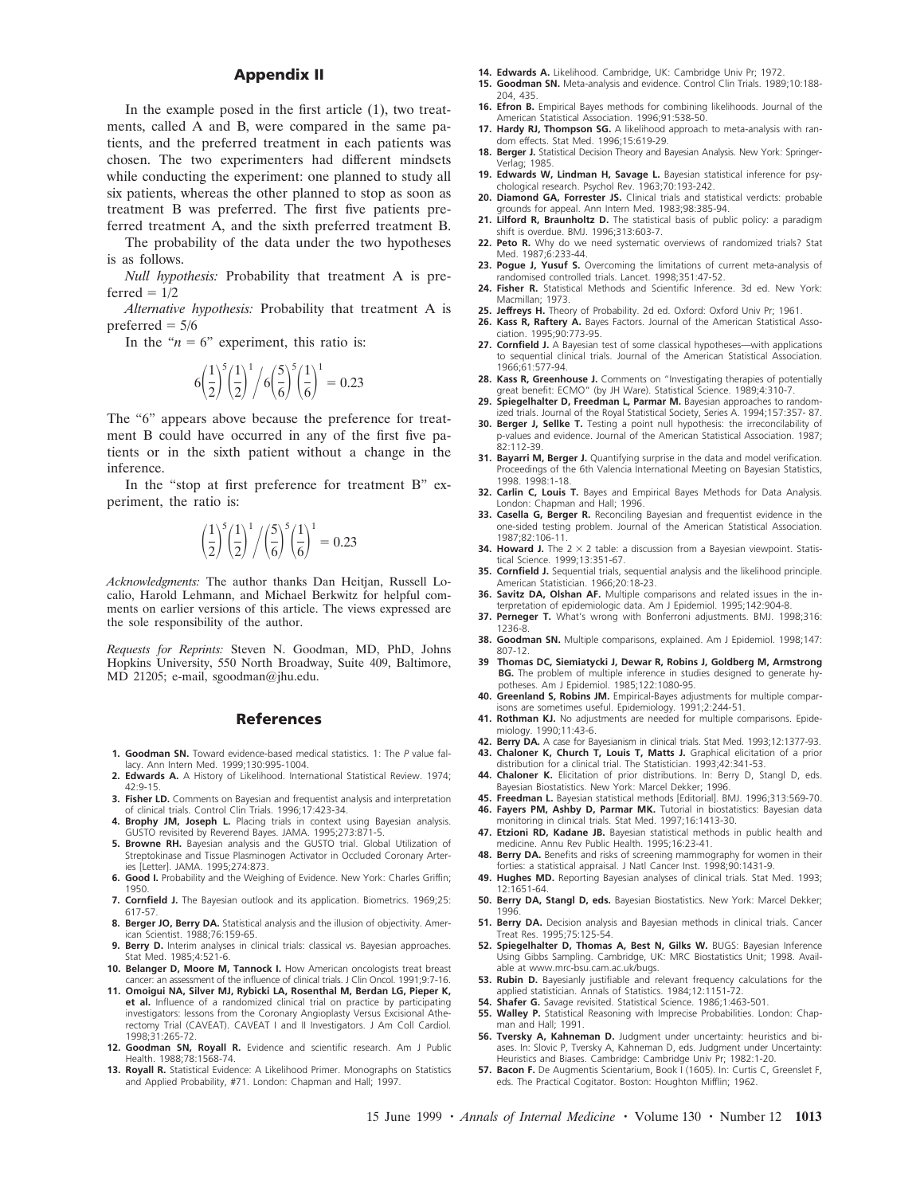#### **Appendix II**

In the example posed in the first article (1), two treatments, called A and B, were compared in the same patients, and the preferred treatment in each patients was chosen. The two experimenters had different mindsets while conducting the experiment: one planned to study all six patients, whereas the other planned to stop as soon as treatment B was preferred. The first five patients preferred treatment A, and the sixth preferred treatment B.

The probability of the data under the two hypotheses is as follows.

*Null hypothesis:* Probability that treatment A is preferred  $= 1/2$ 

*Alternative hypothesis:* Probability that treatment A is preferred  $= 5/6$ 

In the " $n = 6$ " experiment, this ratio is:

$$
6\left(\frac{1}{2}\right)^5\left(\frac{1}{2}\right)^1/6\left(\frac{5}{6}\right)^5\left(\frac{1}{6}\right)^1 = 0.23
$$

The "6" appears above because the preference for treatment B could have occurred in any of the first five patients or in the sixth patient without a change in the inference.

In the "stop at first preference for treatment B" experiment, the ratio is:

$$
\bigg(\!\frac{1}{2}\!\bigg)^{\!5}\!\bigg(\!\frac{1}{2}\!\bigg)^{\!1}\!\bigg/\!\bigg(\!\frac{5}{6}\!\bigg)^{\!5}\!\bigg(\!\frac{1}{6}\!\bigg)^{\!1}=0.23
$$

*Acknowledgments:* The author thanks Dan Heitjan, Russell Localio, Harold Lehmann, and Michael Berkwitz for helpful comments on earlier versions of this article. The views expressed are the sole responsibility of the author.

*Requests for Reprints:* Steven N. Goodman, MD, PhD, Johns Hopkins University, 550 North Broadway, Suite 409, Baltimore, MD 21205; e-mail, sgoodman@jhu.edu.

#### **References**

- **1. Goodman SN.** Toward evidence-based medical statistics. 1: The *P* value fallacy. Ann Intern Med. 1999;130:995-1004.
- **2. Edwards A.** A History of Likelihood. International Statistical Review. 1974;  $42.9 - 15$
- **3. Fisher LD.** Comments on Bayesian and frequentist analysis and interpretation of clinical trials. Control Clin Trials. 1996;17:423-34.
- **4. Brophy JM, Joseph L.** Placing trials in context using Bayesian analysis. GUSTO revisited by Reverend Bayes. JAMA. 1995;273:871-5.
- **5. Browne RH.** Bayesian analysis and the GUSTO trial. Global Utilization of Streptokinase and Tissue Plasminogen Activator in Occluded Coronary Arteries [Letter]. JAMA. 1995;274:873.
- **6. Good I.** Probability and the Weighing of Evidence. New York: Charles Griffin; 1950.
- **7. Cornfield J.** The Bayesian outlook and its application. Biometrics. 1969;25: 617-57.
- 8. Berger JO, Berry DA. Statistical analysis and the illusion of objectivity. American Scientist. 1988;76:159-65.
- **9. Berry D.** Interim analyses in clinical trials: classical vs. Bayesian approaches. Stat Med. 1985;4:521-6.
- **10. Belanger D, Moore M, Tannock I.** How American oncologists treat breast cancer: an assessment of the influence of clinical trials. J Clin Oncol. 1991;9:7-16.
- **11. Omoigui NA, Silver MJ, Rybicki LA, Rosenthal M, Berdan LG, Pieper K, et al.** Influence of a randomized clinical trial on practice by participating investigators: lessons from the Coronary Angioplasty Versus Excisional Atherectomy Trial (CAVEAT). CAVEAT I and II Investigators. J Am Coll Cardiol. 1998;31:265-72.
- **12. Goodman SN, Royall R.** Evidence and scientific research. Am J Public Health. 1988;78:1568-74.
- **13. Royall R.** Statistical Evidence: A Likelihood Primer. Monographs on Statistics and Applied Probability, #71. London: Chapman and Hall; 1997.
- **14. Edwards A.** Likelihood. Cambridge, UK: Cambridge Univ Pr; 1972.
- **15. Goodman SN.** Meta-analysis and evidence. Control Clin Trials. 1989;10:188- 204, 435.
- **16. Efron B.** Empirical Bayes methods for combining likelihoods. Journal of the American Statistical Association. 1996;91:538-50.
- **17. Hardy RJ, Thompson SG.** A likelihood approach to meta-analysis with random effects. Stat Med. 1996;15:619-29.
- 18. Berger J. Statistical Decision Theory and Bayesian Analysis. New York: Springer-Verlag; 1985.
- **19. Edwards W, Lindman H, Savage L.** Bayesian statistical inference for psychological research. Psychol Rev. 1963;70:193-242.
- **20. Diamond GA, Forrester JS.** Clinical trials and statistical verdicts: probable grounds for appeal. Ann Intern Med. 1983;98:385-94.
- **21. Lilford R, Braunholtz D.** The statistical basis of public policy: a paradigm shift is overdue. BMJ. 1996;313:603-7.
- **22. Peto R.** Why do we need systematic overviews of randomized trials? Stat Med. 1987;6:233-44.
- **23. Pogue J, Yusuf S.** Overcoming the limitations of current meta-analysis of randomised controlled trials. Lancet. 1998;351:47-52.
- **24. Fisher R.** Statistical Methods and Scientific Inference. 3d ed. New York: Macmillan; 1973. **25. Jeffreys H.** Theory of Probability. 2d ed. Oxford: Oxford Univ Pr; 1961.
- 
- **26. Kass R, Raftery A.** Bayes Factors. Journal of the American Statistical Association. 1995;90:773-95.
- 27. Cornfield J. A Bayesian test of some classical hypotheses-with applications to sequential clinical trials. Journal of the American Statistical Association. 1966;61:577-94.
- **28. Kass R, Greenhouse J.** Comments on "Investigating therapies of potentially great benefit: ECMO" (by JH Ware). Statistical Science. 1989;4:310-7.
- **29. Spiegelhalter D, Freedman L, Parmar M.** Bayesian approaches to randomized trials. Journal of the Royal Statistical Society, Series A. 1994;157:357- 87.
- **30. Berger J, Sellke T.** Testing a point null hypothesis: the irreconcilability of p-values and evidence. Journal of the American Statistical Association. 1987; 82:112-39.
- **31. Bayarri M, Berger J.** Quantifying surprise in the data and model verification. Proceedings of the 6th Valencia International Meeting on Bayesian Statistics, 1998. 1998:1-18.
- **32. Carlin C, Louis T.** Bayes and Empirical Bayes Methods for Data Analysis. London: Chapman and Hall; 1996.
- **33. Casella G, Berger R.** Reconciling Bayesian and frequentist evidence in the one-sided testing problem. Journal of the American Statistical Association. 1987;82:106-11.
- **34. Howard J.** The  $2 \times 2$  table: a discussion from a Bayesian viewpoint. Statistical Science. 1999;13:351-67.
- 35. Cornfield J. Sequential trials, sequential analysis and the likelihood principle. American Statistician. 1966;20:18-23.
- **36. Savitz DA, Olshan AF.** Multiple comparisons and related issues in the interpretation of epidemiologic data. Am J Epidemiol. 1995;142:904-8.
- **37. Perneger T.** What's wrong with Bonferroni adjustments. BMJ. 1998;316: 1236-8.
- **38. Goodman SN.** Multiple comparisons, explained. Am J Epidemiol. 1998;147: 807-12.
- **39 Thomas DC, Siemiatycki J, Dewar R, Robins J, Goldberg M, Armstrong BG.** The problem of multiple inference in studies designed to generate hypotheses. Am J Epidemiol. 1985;122:1080-95.
- **40. Greenland S, Robins JM.** Empirical-Bayes adjustments for multiple comparisons are sometimes useful. Epidemiology. 1991;2:244-51.
- 41. Rothman KJ. No adjustments are needed for multiple comparisons. Epidemiology. 1990;11:43-6.
- **42. Berry DA.** A case for Bayesianism in clinical trials. Stat Med. 1993;12:1377-93. **43. Chaloner K, Church T, Louis T, Matts J.** Graphical elicitation of a prior
- distribution for a clinical trial. The Statistician. 1993;42:341-53. **44. Chaloner K.** Elicitation of prior distributions. In: Berry D, Stangl D, eds. Bayesian Biostatistics. New York: Marcel Dekker; 1996.
- **45. Freedman L.** Bayesian statistical methods [Editorial]. BMJ. 1996;313:569-70. **46. Fayers PM, Ashby D, Parmar MK.** Tutorial in biostatistics: Bayesian data
- monitoring in clinical trials. Stat Med. 1997;16:1413-30. **47. Etzioni RD, Kadane JB.** Bayesian statistical methods in public health and medicine. Annu Rev Public Health. 1995;16:23-41.
- **48. Berry DA.** Benefits and risks of screening mammography for women in their forties: a statistical appraisal. J Natl Cancer Inst. 1998;90:1431-9.
- **49. Hughes MD.** Reporting Bayesian analyses of clinical trials. Stat Med. 1993; 12:1651-64.
- **50. Berry DA, Stangl D, eds.** Bayesian Biostatistics. New York: Marcel Dekker; 1996.
- **51. Berry DA.** Decision analysis and Bayesian methods in clinical trials. Cancer Treat Res. 1995;75:125-54.
- **52. Spiegelhalter D, Thomas A, Best N, Gilks W.** BUGS: Bayesian Inference Using Gibbs Sampling. Cambridge, UK: MRC Biostatistics Unit; 1998. Available at www.mrc-bsu.cam.ac.uk/bugs.
- **53. Rubin D.** Bayesianly justifiable and relevant frequency calculations for the applied statistician. Annals of Statistics. 1984;12:1151-72.
- **54. Shafer G.** Savage revisited. Statistical Science. 1986;1:463-501.
- **55. Walley P.** Statistical Reasoning with Imprecise Probabilities. London: Chapman and Hall; 1991. **56. Tversky A, Kahneman D.** Judgment under uncertainty: heuristics and bi-
- ases. In: Slovic P, Tversky A, Kahneman D, eds. Judgment under Uncertainty: Heuristics and Biases. Cambridge: Cambridge Univ Pr; 1982:1-20.
- **57. Bacon F.** De Augmentis Scientarium, Book I (1605). In: Curtis C, Greenslet F, eds. The Practical Cogitator. Boston: Houghton Mifflin; 1962.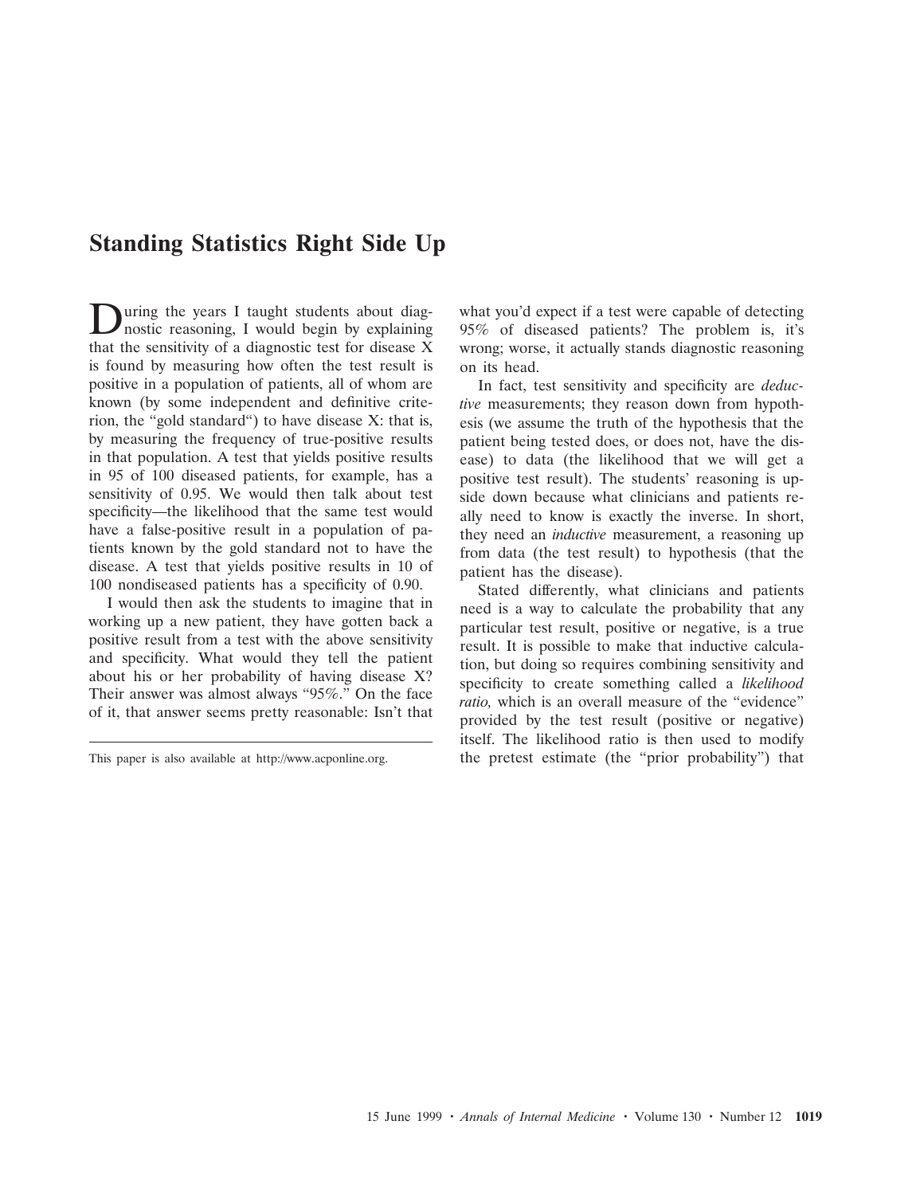## **Standing Statistics Right Side Up**

During the years I taught students about diagnostic reasoning, I would begin by explaining that the sensitivity of a diagnostic test for disease X is found by measuring how often the test result is positive in a population of patients, all of whom are known (by some independent and definitive criterion, the "gold standard") to have disease X: that is, by measuring the frequency of true-positive results in that population. A test that yields positive results in 95 of 100 diseased patients, for example, has a sensitivity of 0.95. We would then talk about test specificity—the likelihood that the same test would have a false-positive result in a population of patients known by the gold standard not to have the disease. A test that yields positive results in 10 of 100 nondiseased patients has a specificity of 0.90.

I would then ask the students to imagine that in working up a new patient, they have gotten back a positive result from a test with the above sensitivity and specificity. What would they tell the patient about his or her probability of having disease X? Their answer was almost always "95%." On the face of it, that answer seems pretty reasonable: Isn't that what you'd expect if a test were capable of detecting 95% of diseased patients? The problem is, it's wrong; worse, it actually stands diagnostic reasoning on its head.

In fact, test sensitivity and specificity are *deductive* measurements; they reason down from hypothesis (we assume the truth of the hypothesis that the patient being tested does, or does not, have the disease) to data (the likelihood that we will get a positive test result). The students' reasoning is upside down because what clinicians and patients really need to know is exactly the inverse. In short, they need an *inductive* measurement, a reasoning up from data (the test result) to hypothesis (that the patient has the disease).

Stated differently, what clinicians and patients need is a way to calculate the probability that any particular test result, positive or negative, is a true result. It is possible to make that inductive calculation, but doing so requires combining sensitivity and specificity to create something called a *likelihood* ratio, which is an overall measure of the "evidence" provided by the test result (positive or negative) itself. The likelihood ratio is then used to modify This paper is also available at http://www.acponline.org. the pretest estimate (the "prior probability") that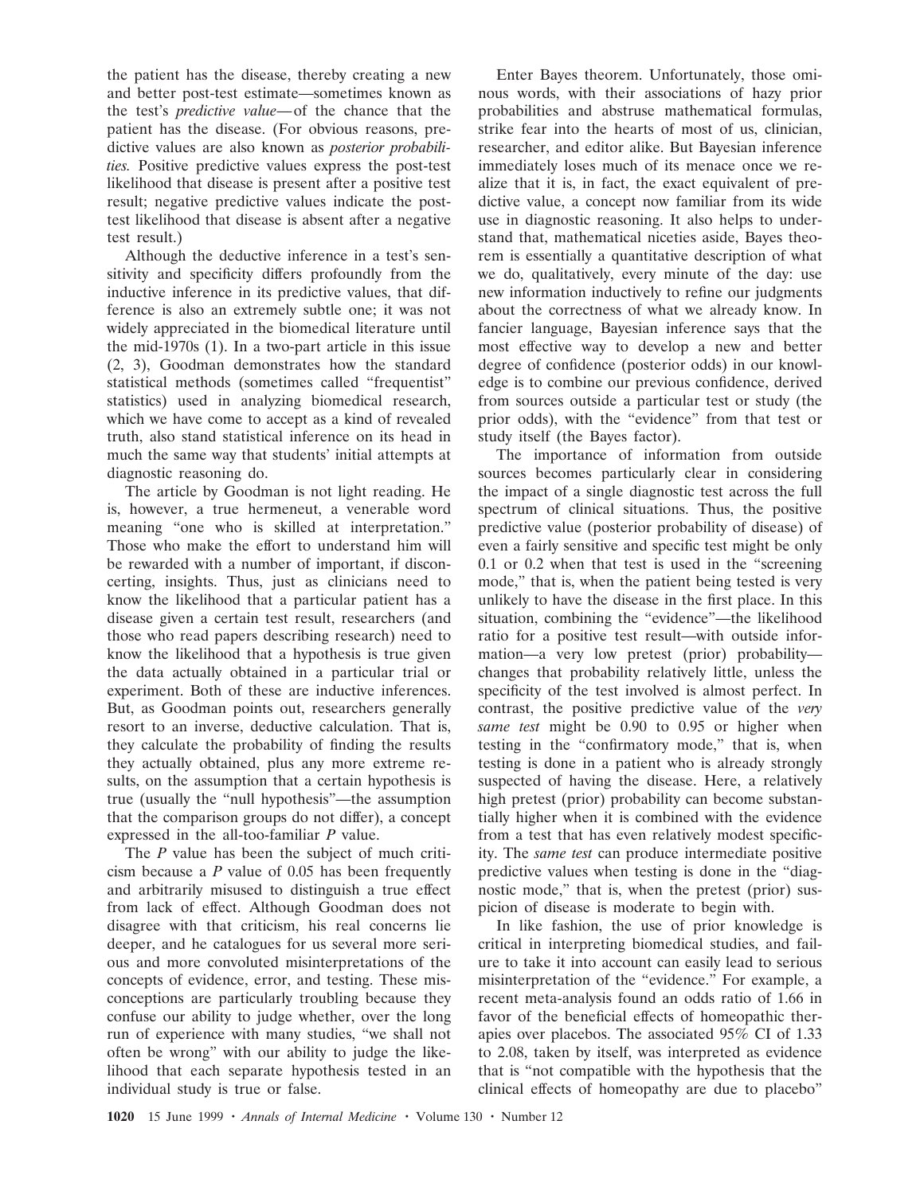the patient has the disease, thereby creating a new and better post-test estimate—sometimes known as the test's *predictive value*—of the chance that the patient has the disease. (For obvious reasons, predictive values are also known as *posterior probabilities.* Positive predictive values express the post-test likelihood that disease is present after a positive test result; negative predictive values indicate the posttest likelihood that disease is absent after a negative test result.)

Although the deductive inference in a test's sensitivity and specificity differs profoundly from the inductive inference in its predictive values, that difference is also an extremely subtle one; it was not widely appreciated in the biomedical literature until the mid-1970s (1). In a two-part article in this issue (2, 3), Goodman demonstrates how the standard statistical methods (sometimes called "frequentist" statistics) used in analyzing biomedical research, which we have come to accept as a kind of revealed truth, also stand statistical inference on its head in much the same way that students' initial attempts at diagnostic reasoning do.

The article by Goodman is not light reading. He is, however, a true hermeneut, a venerable word meaning "one who is skilled at interpretation." Those who make the effort to understand him will be rewarded with a number of important, if disconcerting, insights. Thus, just as clinicians need to know the likelihood that a particular patient has a disease given a certain test result, researchers (and those who read papers describing research) need to know the likelihood that a hypothesis is true given the data actually obtained in a particular trial or experiment. Both of these are inductive inferences. But, as Goodman points out, researchers generally resort to an inverse, deductive calculation. That is, they calculate the probability of finding the results they actually obtained, plus any more extreme results, on the assumption that a certain hypothesis is true (usually the "null hypothesis"—the assumption that the comparison groups do not differ), a concept expressed in the all-too-familiar *P* value.

The *P* value has been the subject of much criticism because a *P* value of 0.05 has been frequently and arbitrarily misused to distinguish a true effect from lack of effect. Although Goodman does not disagree with that criticism, his real concerns lie deeper, and he catalogues for us several more serious and more convoluted misinterpretations of the concepts of evidence, error, and testing. These misconceptions are particularly troubling because they confuse our ability to judge whether, over the long run of experience with many studies, "we shall not often be wrong" with our ability to judge the likelihood that each separate hypothesis tested in an individual study is true or false.

Enter Bayes theorem. Unfortunately, those ominous words, with their associations of hazy prior probabilities and abstruse mathematical formulas, strike fear into the hearts of most of us, clinician, researcher, and editor alike. But Bayesian inference immediately loses much of its menace once we realize that it is, in fact, the exact equivalent of predictive value, a concept now familiar from its wide use in diagnostic reasoning. It also helps to understand that, mathematical niceties aside, Bayes theorem is essentially a quantitative description of what we do, qualitatively, every minute of the day: use new information inductively to refine our judgments about the correctness of what we already know. In fancier language, Bayesian inference says that the most effective way to develop a new and better degree of confidence (posterior odds) in our knowledge is to combine our previous confidence, derived from sources outside a particular test or study (the prior odds), with the "evidence" from that test or study itself (the Bayes factor).

The importance of information from outside sources becomes particularly clear in considering the impact of a single diagnostic test across the full spectrum of clinical situations. Thus, the positive predictive value (posterior probability of disease) of even a fairly sensitive and specific test might be only 0.1 or 0.2 when that test is used in the "screening mode," that is, when the patient being tested is very unlikely to have the disease in the first place. In this situation, combining the "evidence"—the likelihood ratio for a positive test result—with outside information—a very low pretest (prior) probability changes that probability relatively little, unless the specificity of the test involved is almost perfect. In contrast, the positive predictive value of the *very same test* might be 0.90 to 0.95 or higher when testing in the "confirmatory mode," that is, when testing is done in a patient who is already strongly suspected of having the disease. Here, a relatively high pretest (prior) probability can become substantially higher when it is combined with the evidence from a test that has even relatively modest specificity. The *same test* can produce intermediate positive predictive values when testing is done in the "diagnostic mode," that is, when the pretest (prior) suspicion of disease is moderate to begin with.

In like fashion, the use of prior knowledge is critical in interpreting biomedical studies, and failure to take it into account can easily lead to serious misinterpretation of the "evidence." For example, a recent meta-analysis found an odds ratio of 1.66 in favor of the beneficial effects of homeopathic therapies over placebos. The associated 95% CI of 1.33 to 2.08, taken by itself, was interpreted as evidence that is "not compatible with the hypothesis that the clinical effects of homeopathy are due to placebo"